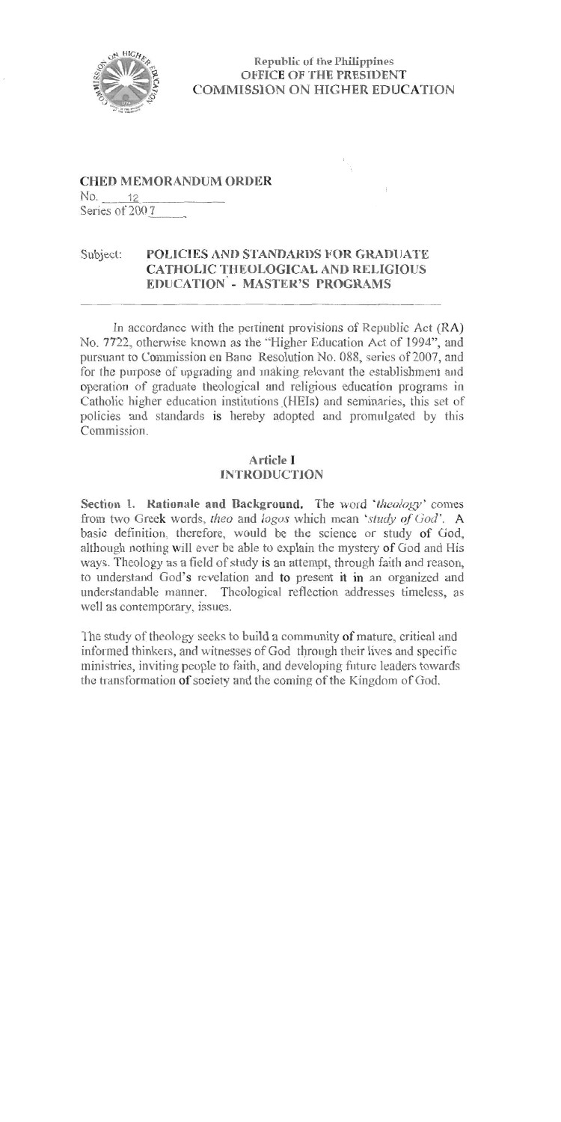

**Republic of the Philippines OFFICE OF THE PRESIDENT COMMISSION ON HIGHER EDUCATION** 

## **CHED MEMORANDUM ORDER**

No. 12 Series of 2007

#### POLICIES AND STANDARDS FOR GRADUATE Subject: **CATHOLIC THEOLOGICAL AND RELIGIOUS EDUCATION - MASTER'S PROGRAMS**

In accordance with the pertinent provisions of Republic Act (RA) No. 7722, otherwise known as the "Higher Education Act of 1994", and pursuant to Commission en Banc Resolution No. 088, series of 2007, and for the purpose of upgrading and making relevant the establishment and operation of graduate theological and religious education programs in Catholic higher education institutions (HEIs) and seminaries, this set of policies and standards is hereby adopted and promulgated by this Commission

#### **Article I INTRODUCTION**

Section 1. Rationale and Background. The word 'theology' comes from two Greek words, theo and logos which mean 'study of God'. A basic definition, therefore, would be the science or study of God, although nothing will ever be able to explain the mystery of God and His ways. Theology as a field of study is an attempt, through faith and reason, to understand God's revelation and to present it in an organized and understandable manner. Theological reflection addresses timeless, as well as contemporary, issues.

The study of theology seeks to build a community of mature, critical and informed thinkers, and witnesses of God through their lives and specific ministries, inviting people to faith, and developing future leaders towards the transformation of society and the coming of the Kingdom of God.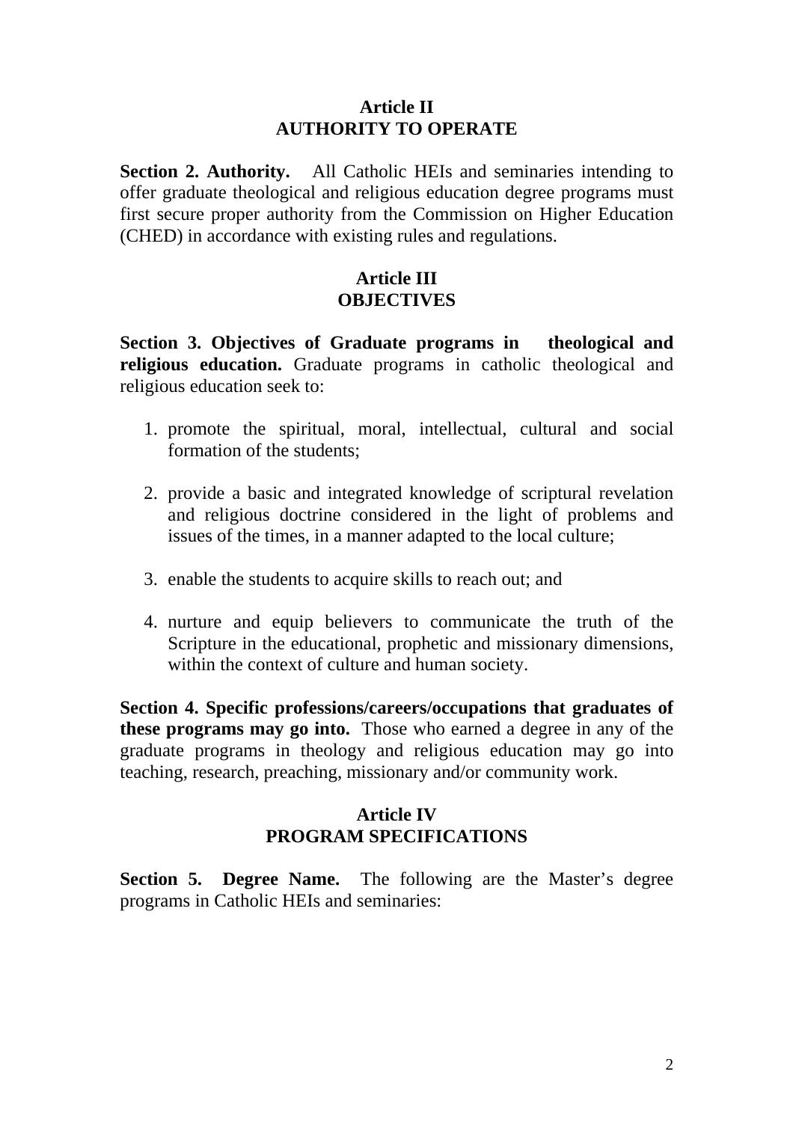## **Article II AUTHORITY TO OPERATE**

**Section 2. Authority.** All Catholic HEIs and seminaries intending to offer graduate theological and religious education degree programs must first secure proper authority from the Commission on Higher Education (CHED) in accordance with existing rules and regulations.

## **Article III OBJECTIVES**

**Section 3. Objectives of Graduate programs in theological and religious education.** Graduate programs in catholic theological and religious education seek to:

- 1. promote the spiritual, moral, intellectual, cultural and social formation of the students;
- 2. provide a basic and integrated knowledge of scriptural revelation and religious doctrine considered in the light of problems and issues of the times, in a manner adapted to the local culture;
- 3. enable the students to acquire skills to reach out; and
- 4. nurture and equip believers to communicate the truth of the Scripture in the educational, prophetic and missionary dimensions, within the context of culture and human society.

**Section 4. Specific professions/careers/occupations that graduates of these programs may go into.**Those who earned a degree in any of the graduate programs in theology and religious education may go into teaching, research, preaching, missionary and/or community work.

## **Article IV PROGRAM SPECIFICATIONS**

**Section 5. Degree Name.** The following are the Master's degree programs in Catholic HEIs and seminaries: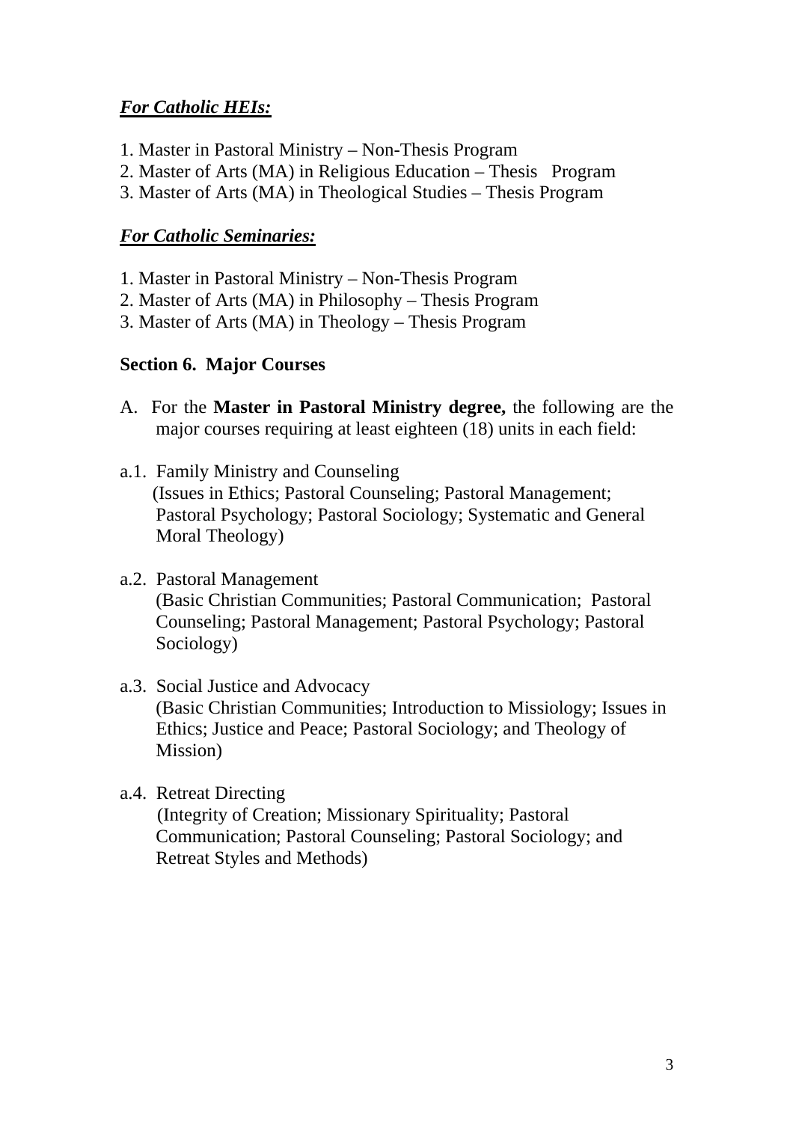## *For Catholic HEIs:*

- 1. Master in Pastoral Ministry Non-Thesis Program
- 2. Master of Arts (MA) in Religious Education Thesis Program
- 3. Master of Arts (MA) in Theological Studies Thesis Program

## *For Catholic Seminaries:*

- 1. Master in Pastoral Ministry Non-Thesis Program
- 2. Master of Arts (MA) in Philosophy Thesis Program
- 3. Master of Arts (MA) in Theology Thesis Program

## **Section 6. Major Courses**

- A. For the **Master in Pastoral Ministry degree,** the following are the major courses requiring at least eighteen (18) units in each field:
- a.1. Family Ministry and Counseling (Issues in Ethics; Pastoral Counseling; Pastoral Management; Pastoral Psychology; Pastoral Sociology; Systematic and General Moral Theology)
- a.2. Pastoral Management (Basic Christian Communities; Pastoral Communication; Pastoral Counseling; Pastoral Management; Pastoral Psychology; Pastoral Sociology)
- a.3. Social Justice and Advocacy (Basic Christian Communities; Introduction to Missiology; Issues in Ethics; Justice and Peace; Pastoral Sociology; and Theology of Mission)
- a.4. Retreat Directing

 (Integrity of Creation; Missionary Spirituality; Pastoral Communication; Pastoral Counseling; Pastoral Sociology; and Retreat Styles and Methods)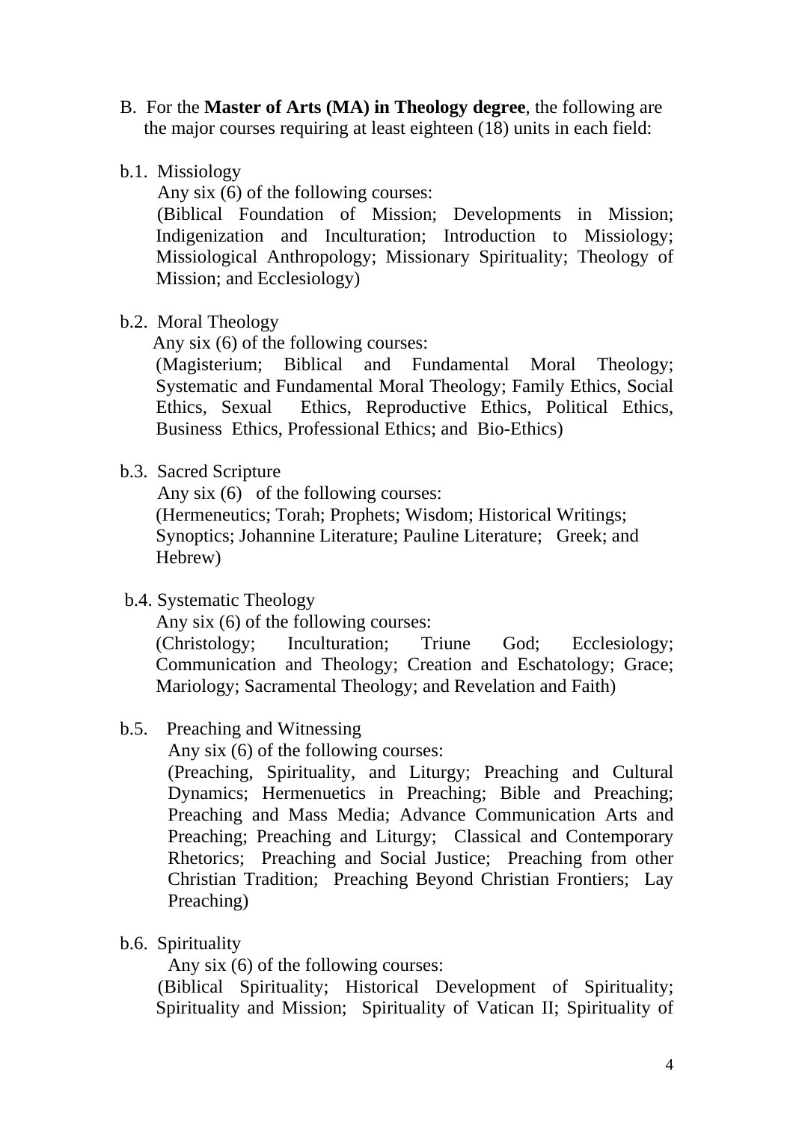- B. For the **Master of Arts (MA) in Theology degree**, the following are the major courses requiring at least eighteen (18) units in each field:
- b.1. Missiology

Any six (6) of the following courses:

 (Biblical Foundation of Mission; Developments in Mission; Indigenization and Inculturation; Introduction to Missiology; Missiological Anthropology; Missionary Spirituality; Theology of Mission; and Ecclesiology)

b.2. Moral Theology

Any six (6) of the following courses:

(Magisterium; Biblical and Fundamental Moral Theology; Systematic and Fundamental Moral Theology; Family Ethics, Social Ethics, Sexual Ethics, Reproductive Ethics, Political Ethics, Business Ethics, Professional Ethics; and Bio-Ethics)

b.3. Sacred Scripture

Any six (6) of the following courses:

(Hermeneutics; Torah; Prophets; Wisdom; Historical Writings; Synoptics; Johannine Literature; Pauline Literature; Greek; and Hebrew)

b.4. Systematic Theology

Any six (6) of the following courses:

(Christology; Inculturation; Triune God; Ecclesiology; Communication and Theology; Creation and Eschatology; Grace; Mariology; Sacramental Theology; and Revelation and Faith)

## b.5. Preaching and Witnessing

Any six (6) of the following courses:

(Preaching, Spirituality, and Liturgy; Preaching and Cultural Dynamics; Hermenuetics in Preaching; Bible and Preaching; Preaching and Mass Media; Advance Communication Arts and Preaching; Preaching and Liturgy; Classical and Contemporary Rhetorics; Preaching and Social Justice; Preaching from other Christian Tradition; Preaching Beyond Christian Frontiers; Lay Preaching)

b.6. Spirituality

Any six (6) of the following courses:

(Biblical Spirituality; Historical Development of Spirituality; Spirituality and Mission; Spirituality of Vatican II; Spirituality of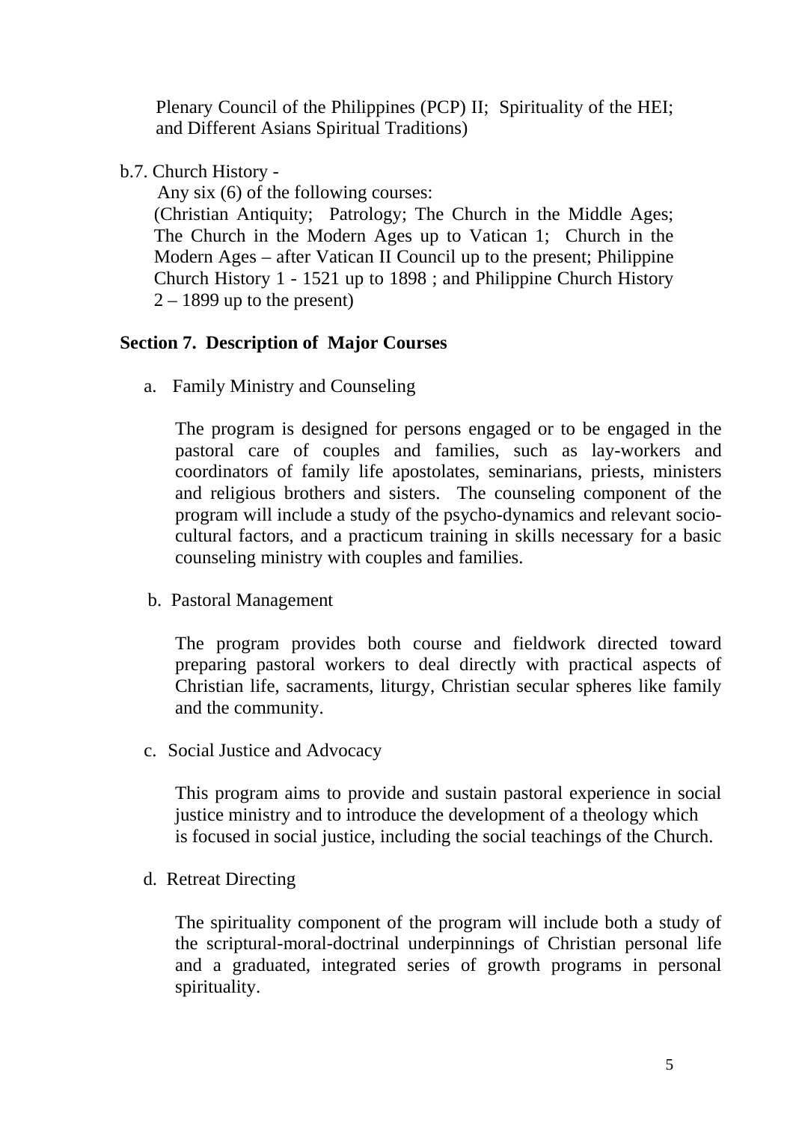Plenary Council of the Philippines (PCP) II; Spirituality of the HEI; and Different Asians Spiritual Traditions)

b.7. Church History -

Any six (6) of the following courses:

(Christian Antiquity; Patrology; The Church in the Middle Ages; The Church in the Modern Ages up to Vatican 1; Church in the Modern Ages – after Vatican II Council up to the present; Philippine Church History 1 - 1521 up to 1898 ; and Philippine Church History  $2 - 1899$  up to the present)

## **Section 7. Description of Major Courses**

a. Family Ministry and Counseling

The program is designed for persons engaged or to be engaged in the pastoral care of couples and families, such as lay-workers and coordinators of family life apostolates, seminarians, priests, ministers and religious brothers and sisters. The counseling component of the program will include a study of the psycho-dynamics and relevant sociocultural factors, and a practicum training in skills necessary for a basic counseling ministry with couples and families.

b. Pastoral Management

The program provides both course and fieldwork directed toward preparing pastoral workers to deal directly with practical aspects of Christian life, sacraments, liturgy, Christian secular spheres like family and the community.

c. Social Justice and Advocacy

This program aims to provide and sustain pastoral experience in social justice ministry and to introduce the development of a theology which is focused in social justice, including the social teachings of the Church.

d. Retreat Directing

The spirituality component of the program will include both a study of the scriptural-moral-doctrinal underpinnings of Christian personal life and a graduated, integrated series of growth programs in personal spirituality.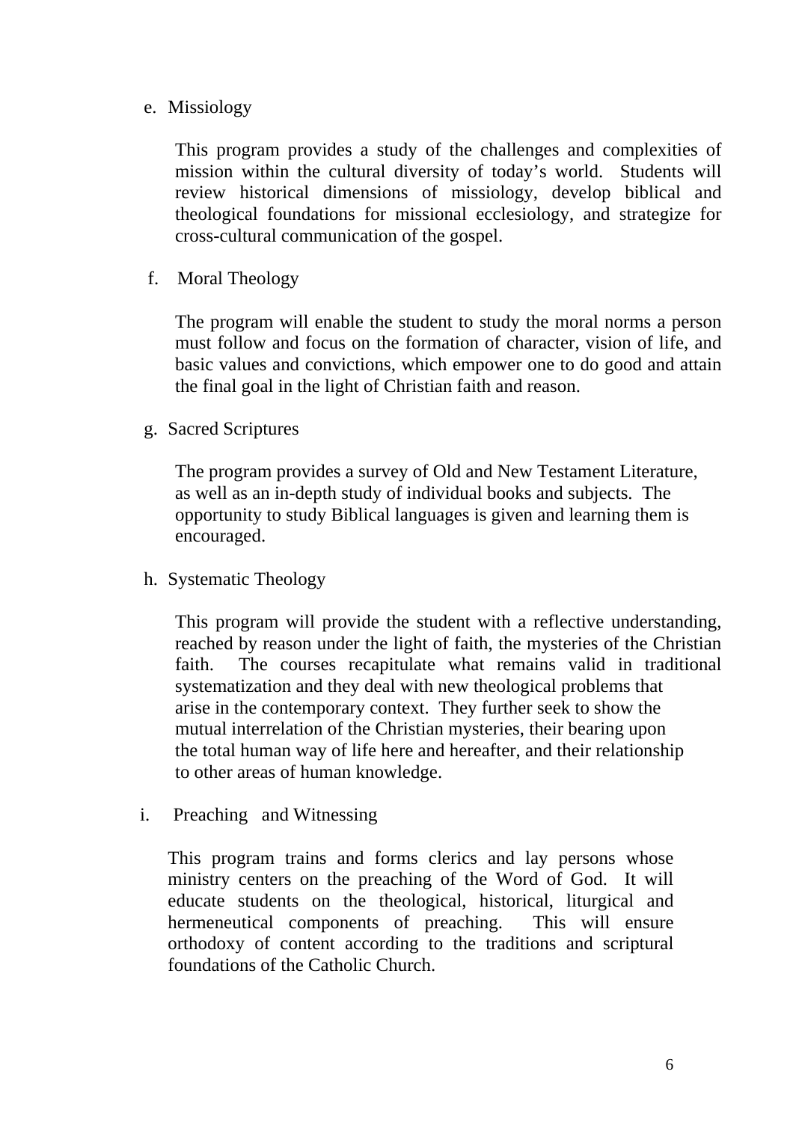e. Missiology

This program provides a study of the challenges and complexities of mission within the cultural diversity of today's world. Students will review historical dimensions of missiology, develop biblical and theological foundations for missional ecclesiology, and strategize for cross-cultural communication of the gospel.

f. Moral Theology

The program will enable the student to study the moral norms a person must follow and focus on the formation of character, vision of life, and basic values and convictions, which empower one to do good and attain the final goal in the light of Christian faith and reason.

g. Sacred Scriptures

The program provides a survey of Old and New Testament Literature, as well as an in-depth study of individual books and subjects. The opportunity to study Biblical languages is given and learning them is encouraged.

h. Systematic Theology

This program will provide the student with a reflective understanding, reached by reason under the light of faith, the mysteries of the Christian faith. The courses recapitulate what remains valid in traditional systematization and they deal with new theological problems that arise in the contemporary context. They further seek to show the mutual interrelation of the Christian mysteries, their bearing upon the total human way of life here and hereafter, and their relationship to other areas of human knowledge.

i. Preaching and Witnessing

This program trains and forms clerics and lay persons whose ministry centers on the preaching of the Word of God. It will educate students on the theological, historical, liturgical and hermeneutical components of preaching. This will ensure orthodoxy of content according to the traditions and scriptural foundations of the Catholic Church.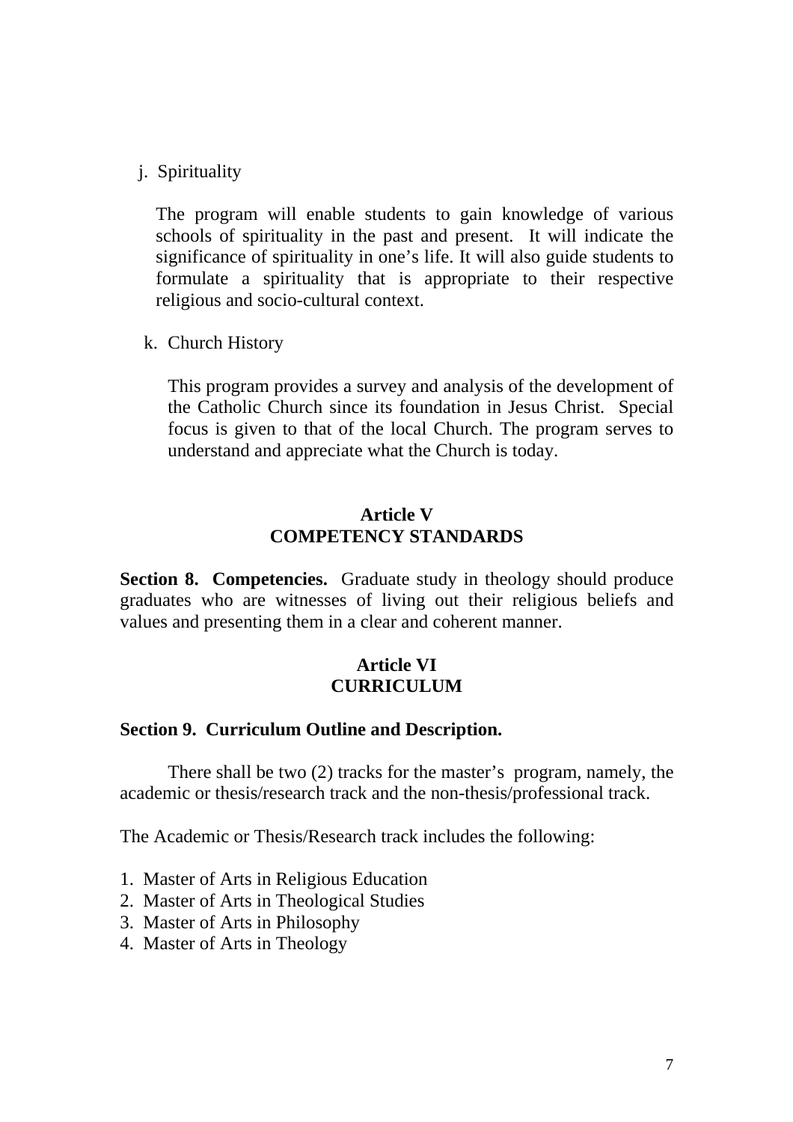j. Spirituality

The program will enable students to gain knowledge of various schools of spirituality in the past and present. It will indicate the significance of spirituality in one's life. It will also guide students to formulate a spirituality that is appropriate to their respective religious and socio-cultural context.

k. Church History

This program provides a survey and analysis of the development of the Catholic Church since its foundation in Jesus Christ. Special focus is given to that of the local Church. The program serves to understand and appreciate what the Church is today.

## **Article V COMPETENCY STANDARDS**

**Section 8. Competencies.** Graduate study in theology should produce graduates who are witnesses of living out their religious beliefs and values and presenting them in a clear and coherent manner.

## **Article VI CURRICULUM**

### **Section 9. Curriculum Outline and Description.**

There shall be two (2) tracks for the master's program, namely, the academic or thesis/research track and the non-thesis/professional track.

The Academic or Thesis/Research track includes the following:

- 1. Master of Arts in Religious Education
- 2. Master of Arts in Theological Studies
- 3. Master of Arts in Philosophy
- 4. Master of Arts in Theology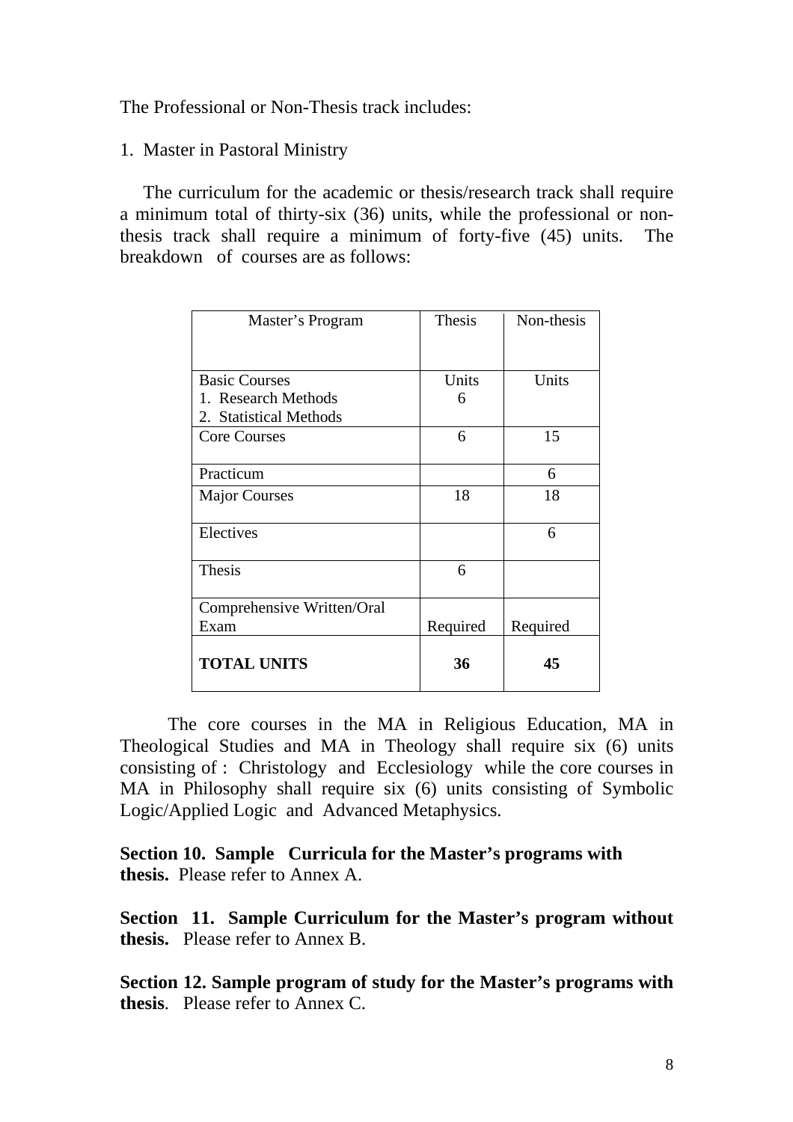The Professional or Non-Thesis track includes:

#### 1. Master in Pastoral Ministry

 The curriculum for the academic or thesis/research track shall require a minimum total of thirty-six (36) units, while the professional or nonthesis track shall require a minimum of forty-five (45) units. The breakdown of courses are as follows:

| Master's Program           | Thesis   | Non-thesis |
|----------------------------|----------|------------|
|                            |          |            |
|                            |          |            |
| <b>Basic Courses</b>       | Units    | Units      |
| 1. Research Methods        | 6        |            |
| 2. Statistical Methods     |          |            |
| <b>Core Courses</b>        | 6        | 15         |
|                            |          |            |
| Practicum                  |          | 6          |
| <b>Major Courses</b>       | 18       | 18         |
| Electives                  |          | 6          |
| <b>Thesis</b>              | 6        |            |
| Comprehensive Written/Oral |          |            |
| Exam                       | Required | Required   |
| <b>TOTAL UNITS</b>         | 36       | 45         |

The core courses in the MA in Religious Education, MA in Theological Studies and MA in Theology shall require six (6) units consisting of : Christology and Ecclesiology while the core courses in MA in Philosophy shall require six (6) units consisting of Symbolic Logic/Applied Logic and Advanced Metaphysics.

**Section 10. Sample Curricula for the Master's programs with thesis.** Please refer to Annex A.

**Section 11. Sample Curriculum for the Master's program without thesis.** Please refer to Annex B.

**Section 12. Sample program of study for the Master's programs with thesis**. Please refer to Annex C.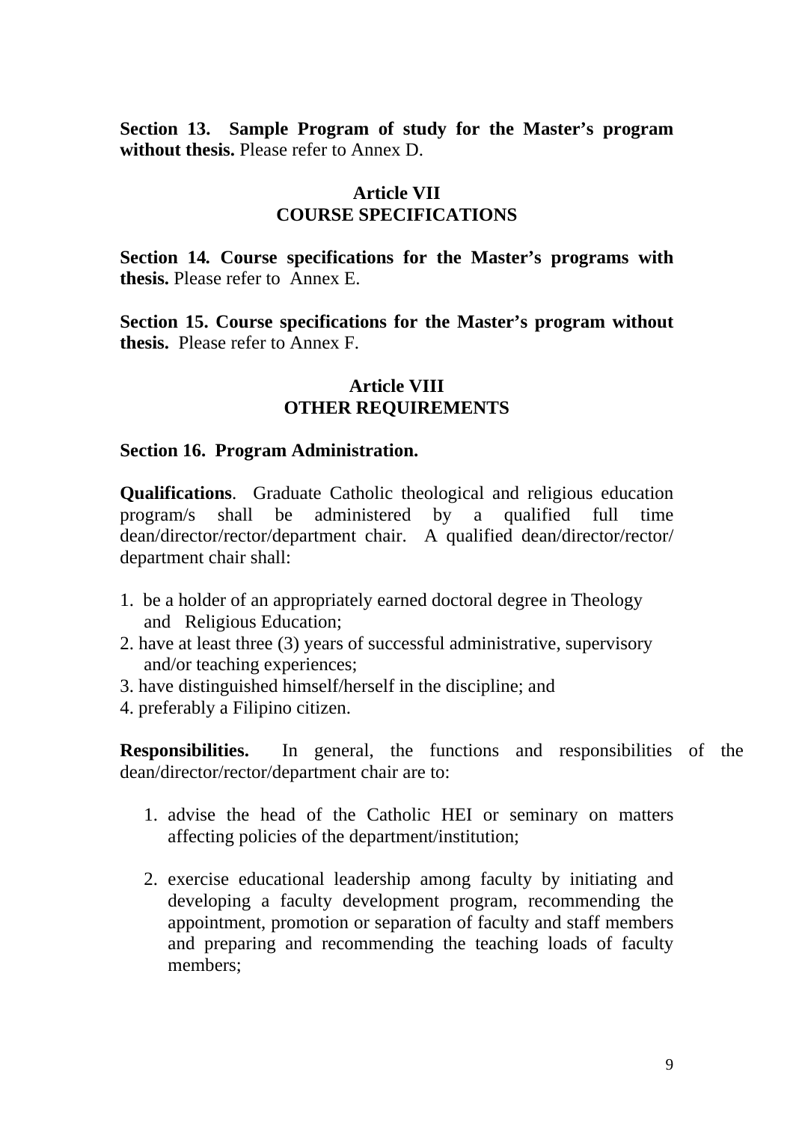**Section 13. Sample Program of study for the Master's program without thesis.** Please refer to Annex D.

## **Article VII COURSE SPECIFICATIONS**

**Section 14***.* **Course specifications for the Master's programs with thesis.** Please refer to Annex E.

**Section 15. Course specifications for the Master's program without thesis.** Please refer to Annex F.

### **Article VIII OTHER REQUIREMENTS**

### **Section 16. Program Administration.**

**Qualifications**. Graduate Catholic theological and religious education program/s shall be administered by a qualified full time dean/director/rector/department chair. A qualified dean/director/rector/ department chair shall:

- 1. be a holder of an appropriately earned doctoral degree in Theology and Religious Education;
- 2. have at least three (3) years of successful administrative, supervisory and/or teaching experiences;
- 3. have distinguished himself/herself in the discipline; and
- 4. preferably a Filipino citizen.

**Responsibilities.** In general, the functions and responsibilities of the dean/director/rector/department chair are to:

- 1. advise the head of the Catholic HEI or seminary on matters affecting policies of the department/institution;
- 2. exercise educational leadership among faculty by initiating and developing a faculty development program, recommending the appointment, promotion or separation of faculty and staff members and preparing and recommending the teaching loads of faculty members;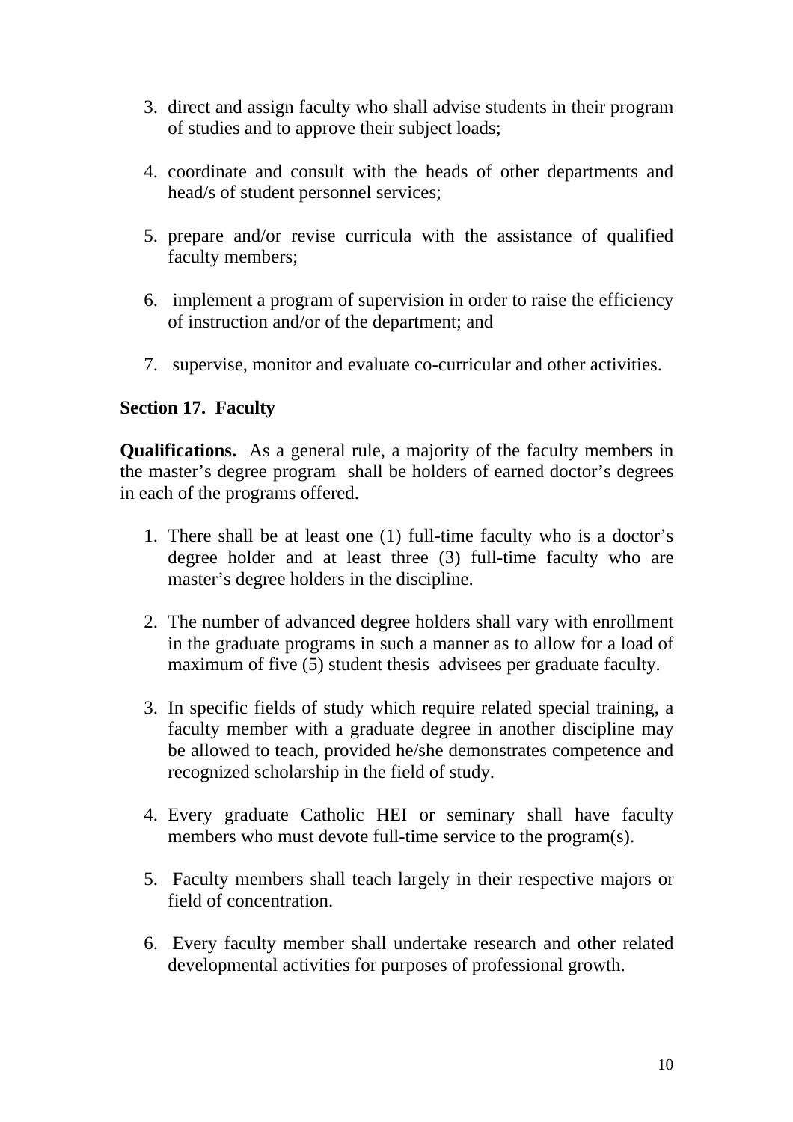- 3. direct and assign faculty who shall advise students in their program of studies and to approve their subject loads;
- 4. coordinate and consult with the heads of other departments and head/s of student personnel services;
- 5. prepare and/or revise curricula with the assistance of qualified faculty members;
- 6. implement a program of supervision in order to raise the efficiency of instruction and/or of the department; and
- 7. supervise, monitor and evaluate co-curricular and other activities.

## **Section 17. Faculty**

**Qualifications.** As a general rule, a majority of the faculty members in the master's degree program shall be holders of earned doctor's degrees in each of the programs offered.

- 1. There shall be at least one (1) full-time faculty who is a doctor's degree holder and at least three (3) full-time faculty who are master's degree holders in the discipline.
- 2. The number of advanced degree holders shall vary with enrollment in the graduate programs in such a manner as to allow for a load of maximum of five (5) student thesis advisees per graduate faculty.
- 3. In specific fields of study which require related special training, a faculty member with a graduate degree in another discipline may be allowed to teach, provided he/she demonstrates competence and recognized scholarship in the field of study.
- 4. Every graduate Catholic HEI or seminary shall have faculty members who must devote full-time service to the program(s).
- 5. Faculty members shall teach largely in their respective majors or field of concentration.
- 6. Every faculty member shall undertake research and other related developmental activities for purposes of professional growth.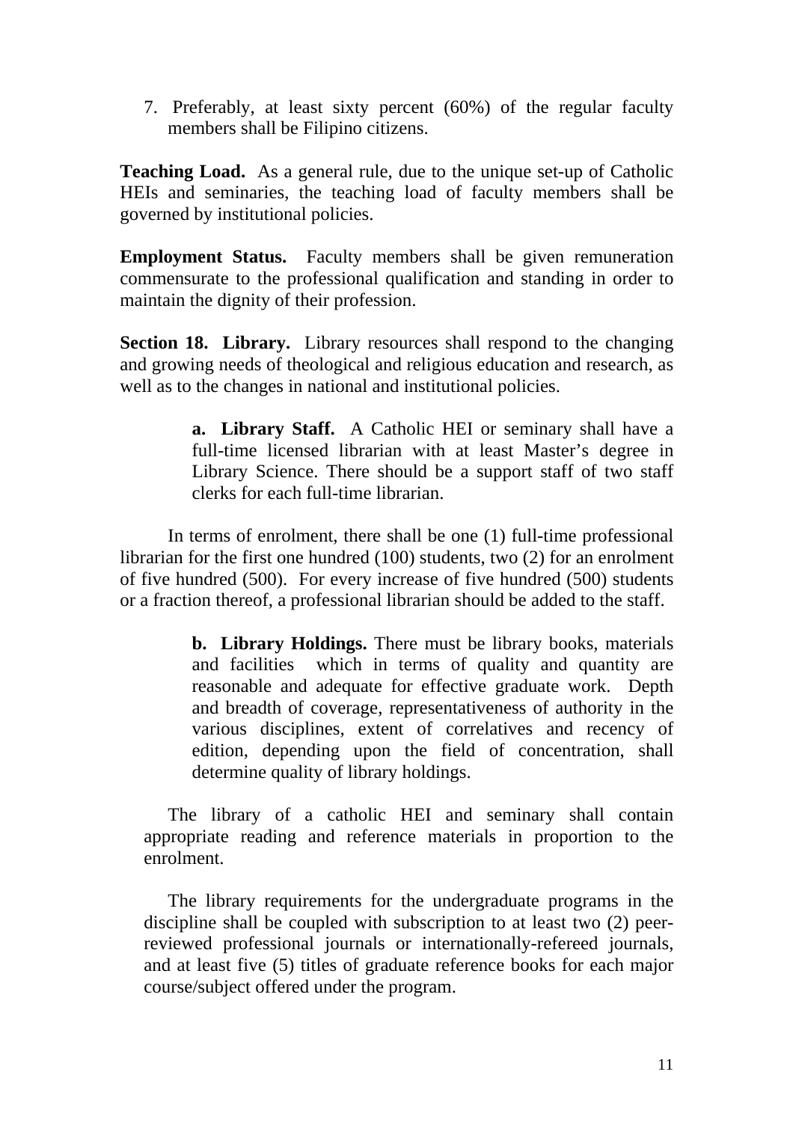7. Preferably, at least sixty percent (60%) of the regular faculty members shall be Filipino citizens.

**Teaching Load.** As a general rule, due to the unique set-up of Catholic HEIs and seminaries, the teaching load of faculty members shall be governed by institutional policies.

**Employment Status.** Faculty members shall be given remuneration commensurate to the professional qualification and standing in order to maintain the dignity of their profession.

**Section 18. Library.** Library resources shall respond to the changing and growing needs of theological and religious education and research, as well as to the changes in national and institutional policies.

> **a. Library Staff.** A Catholic HEI or seminary shall have a full-time licensed librarian with at least Master's degree in Library Science. There should be a support staff of two staff clerks for each full-time librarian.

In terms of enrolment, there shall be one (1) full-time professional librarian for the first one hundred (100) students, two (2) for an enrolment of five hundred (500). For every increase of five hundred (500) students or a fraction thereof, a professional librarian should be added to the staff.

> **b. Library Holdings.** There must be library books, materials and facilities which in terms of quality and quantity are reasonable and adequate for effective graduate work. Depth and breadth of coverage, representativeness of authority in the various disciplines, extent of correlatives and recency of edition, depending upon the field of concentration, shall determine quality of library holdings.

The library of a catholic HEI and seminary shall contain appropriate reading and reference materials in proportion to the enrolment.

The library requirements for the undergraduate programs in the discipline shall be coupled with subscription to at least two (2) peerreviewed professional journals or internationally-refereed journals, and at least five (5) titles of graduate reference books for each major course/subject offered under the program.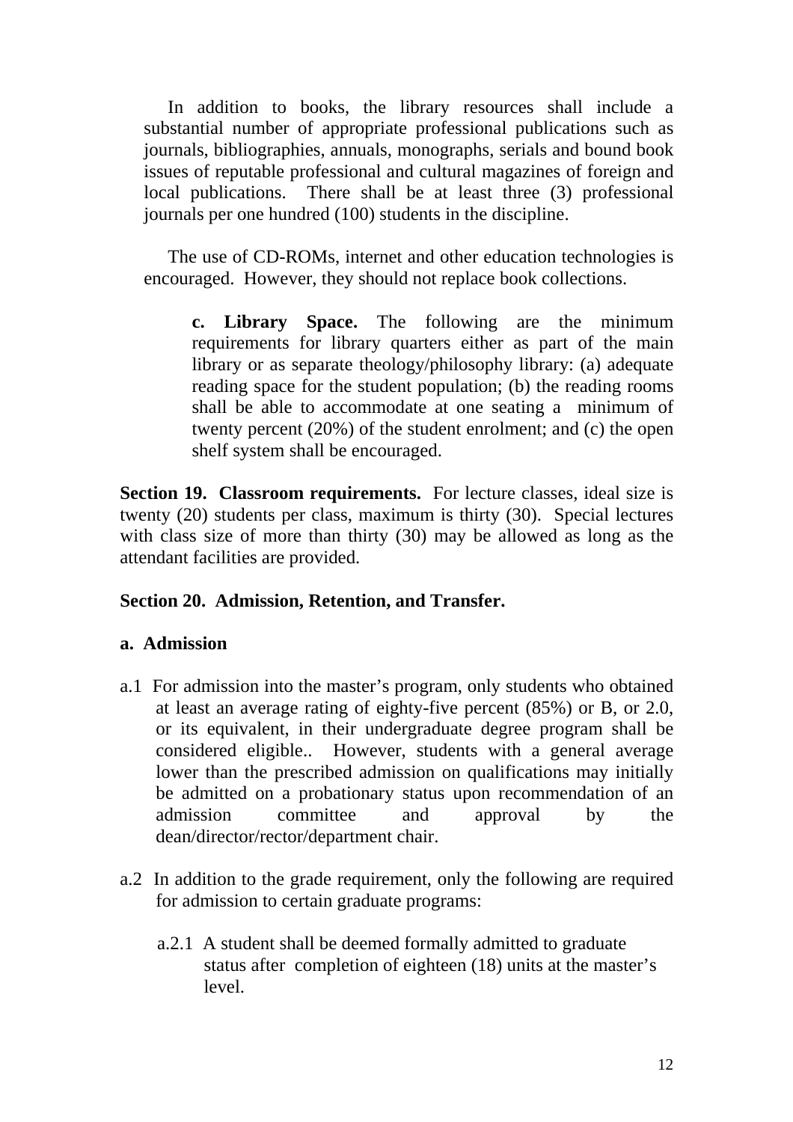In addition to books, the library resources shall include a substantial number of appropriate professional publications such as journals, bibliographies, annuals, monographs, serials and bound book issues of reputable professional and cultural magazines of foreign and local publications. There shall be at least three (3) professional journals per one hundred (100) students in the discipline.

The use of CD-ROMs, internet and other education technologies is encouraged. However, they should not replace book collections.

**c. Library Space.** The following are the minimum requirements for library quarters either as part of the main library or as separate theology/philosophy library: (a) adequate reading space for the student population; (b) the reading rooms shall be able to accommodate at one seating a minimum of twenty percent (20%) of the student enrolment; and (c) the open shelf system shall be encouraged.

**Section 19. Classroom requirements.** For lecture classes, ideal size is twenty (20) students per class, maximum is thirty (30). Special lectures with class size of more than thirty (30) may be allowed as long as the attendant facilities are provided.

## **Section 20. Admission, Retention, and Transfer.**

### **a. Admission**

- a.1 For admission into the master's program, only students who obtained at least an average rating of eighty-five percent (85%) or B, or 2.0, or its equivalent, in their undergraduate degree program shall be considered eligible.. However, students with a general average lower than the prescribed admission on qualifications may initially be admitted on a probationary status upon recommendation of an admission committee and approval by the dean/director/rector/department chair.
- a.2 In addition to the grade requirement, only the following are required for admission to certain graduate programs:
	- a.2.1 A student shall be deemed formally admitted to graduate status after completion of eighteen (18) units at the master's level.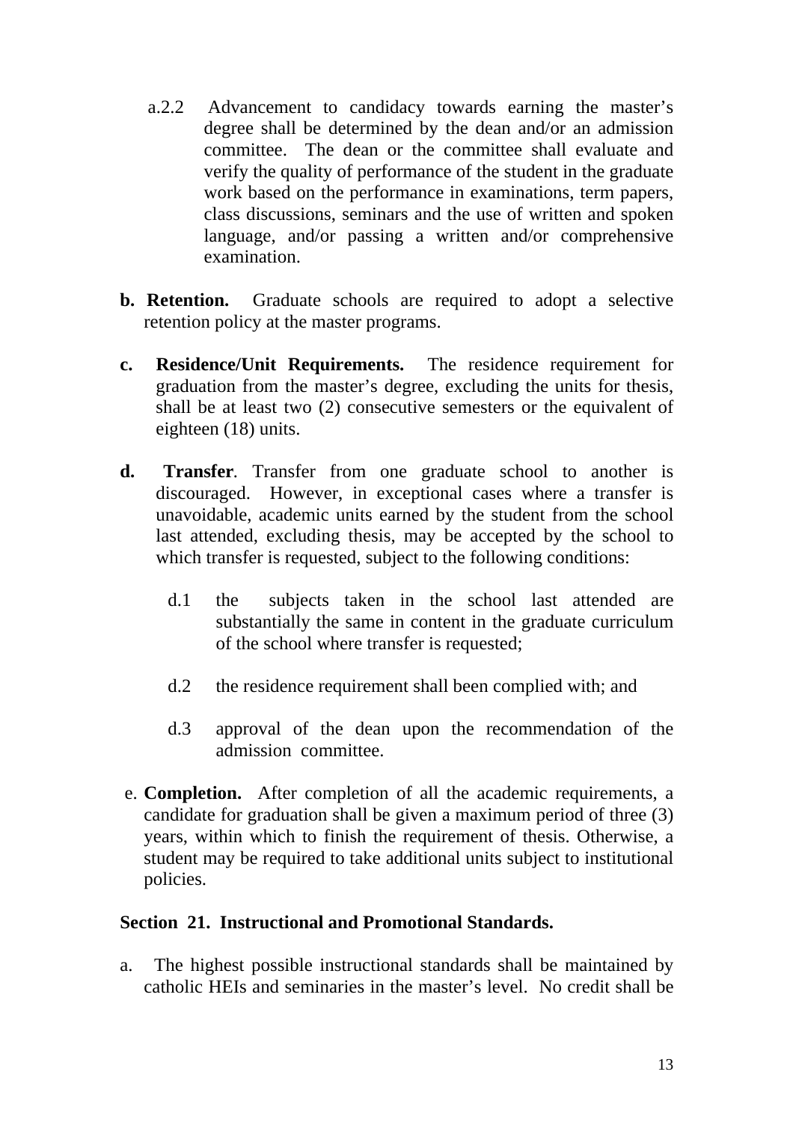- a.2.2 Advancement to candidacy towards earning the master's degree shall be determined by the dean and/or an admission committee. The dean or the committee shall evaluate and verify the quality of performance of the student in the graduate work based on the performance in examinations, term papers, class discussions, seminars and the use of written and spoken language, and/or passing a written and/or comprehensive examination.
- **b. Retention.** Graduate schools are required to adopt a selective retention policy at the master programs.
- **c. Residence/Unit Requirements.** The residence requirement for graduation from the master's degree, excluding the units for thesis, shall be at least two (2) consecutive semesters or the equivalent of eighteen (18) units.
- **d. Transfer***.* Transfer from one graduate school to another is discouraged. However, in exceptional cases where a transfer is unavoidable, academic units earned by the student from the school last attended, excluding thesis, may be accepted by the school to which transfer is requested, subject to the following conditions:
	- d.1 the subjects taken in the school last attended are substantially the same in content in the graduate curriculum of the school where transfer is requested;
	- d.2 the residence requirement shall been complied with; and
	- d.3 approval of the dean upon the recommendation of the admission committee.
- e. **Completion.** After completion of all the academic requirements, a candidate for graduation shall be given a maximum period of three (3) years, within which to finish the requirement of thesis. Otherwise, a student may be required to take additional units subject to institutional policies.

## **Section 21. Instructional and Promotional Standards.**

a. The highest possible instructional standards shall be maintained by catholic HEIs and seminaries in the master's level. No credit shall be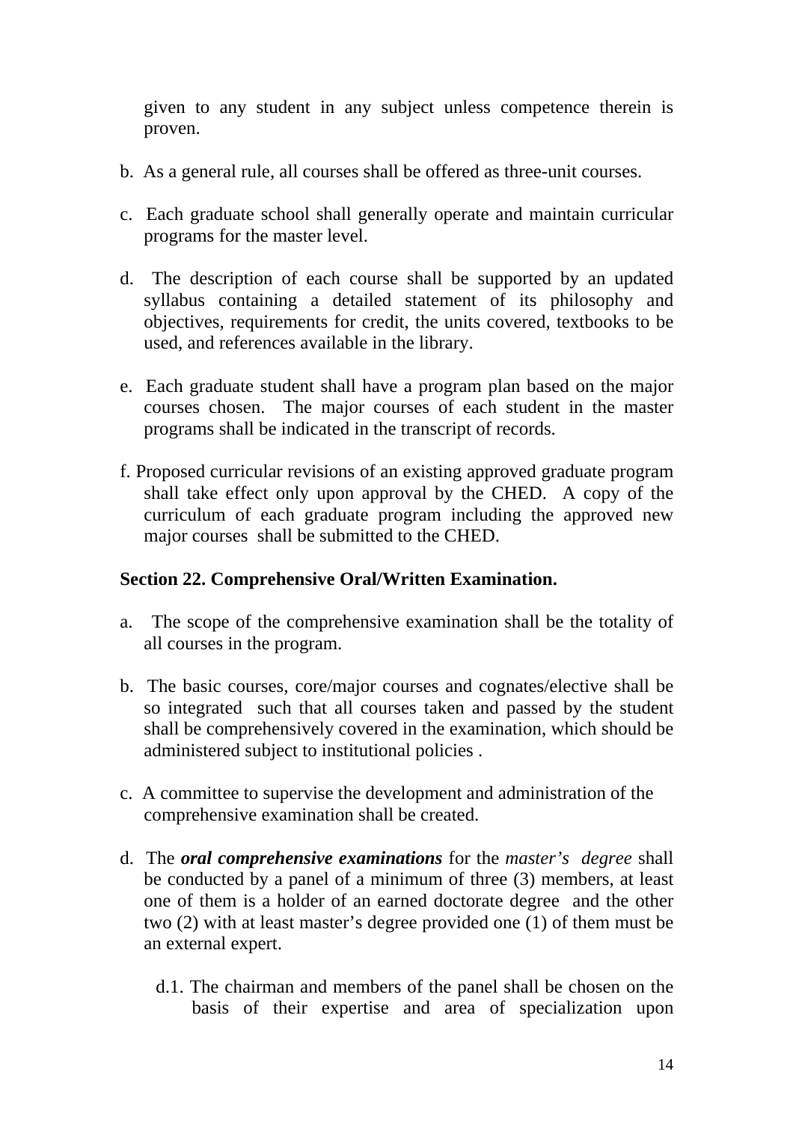given to any student in any subject unless competence therein is proven.

- b. As a general rule, all courses shall be offered as three-unit courses.
- c. Each graduate school shall generally operate and maintain curricular programs for the master level.
- d. The description of each course shall be supported by an updated syllabus containing a detailed statement of its philosophy and objectives, requirements for credit, the units covered, textbooks to be used, and references available in the library.
- e. Each graduate student shall have a program plan based on the major courses chosen. The major courses of each student in the master programs shall be indicated in the transcript of records.
- f. Proposed curricular revisions of an existing approved graduate program shall take effect only upon approval by the CHED. A copy of the curriculum of each graduate program including the approved new major courses shall be submitted to the CHED.

## **Section 22. Comprehensive Oral/Written Examination.**

- a. The scope of the comprehensive examination shall be the totality of all courses in the program.
- b. The basic courses, core/major courses and cognates/elective shall be so integrated such that all courses taken and passed by the student shall be comprehensively covered in the examination, which should be administered subject to institutional policies .
- c. A committee to supervise the development and administration of the comprehensive examination shall be created.
- d. The *oral comprehensive examinations* for the *master's degree* shall be conducted by a panel of a minimum of three (3) members, at least one of them is a holder of an earned doctorate degree and the other two (2) with at least master's degree provided one (1) of them must be an external expert.
	- d.1. The chairman and members of the panel shall be chosen on the basis of their expertise and area of specialization upon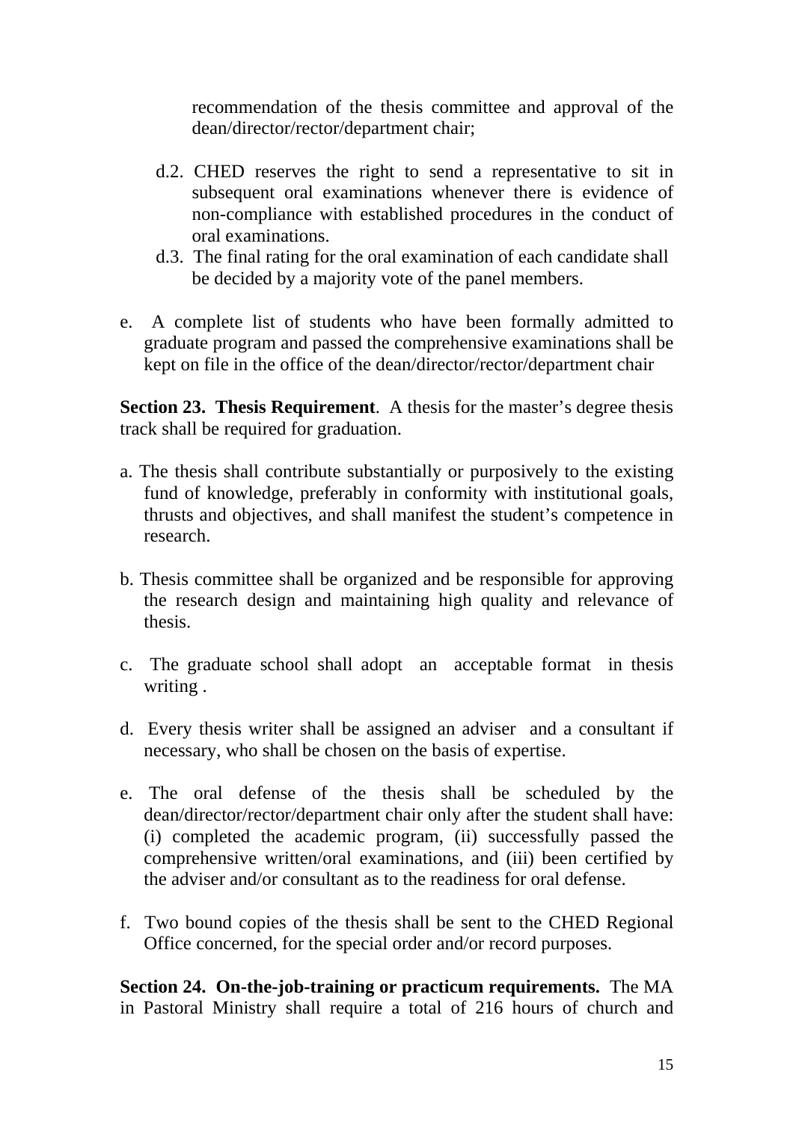recommendation of the thesis committee and approval of the dean/director/rector/department chair;

- d.2. CHED reserves the right to send a representative to sit in subsequent oral examinations whenever there is evidence of non-compliance with established procedures in the conduct of oral examinations.
- d.3. The final rating for the oral examination of each candidate shall be decided by a majority vote of the panel members.
- e. A complete list of students who have been formally admitted to graduate program and passed the comprehensive examinations shall be kept on file in the office of the dean/director/rector/department chair

**Section 23. Thesis Requirement**. A thesis for the master's degree thesis track shall be required for graduation.

- a. The thesis shall contribute substantially or purposively to the existing fund of knowledge, preferably in conformity with institutional goals, thrusts and objectives, and shall manifest the student's competence in research.
- b. Thesis committee shall be organized and be responsible for approving the research design and maintaining high quality and relevance of thesis.
- c. The graduate school shall adopt an acceptable format in thesis writing .
- d. Every thesis writer shall be assigned an adviser and a consultant if necessary, who shall be chosen on the basis of expertise.
- e. The oral defense of the thesis shall be scheduled by the dean/director/rector/department chair only after the student shall have: (i) completed the academic program, (ii) successfully passed the comprehensive written/oral examinations, and (iii) been certified by the adviser and/or consultant as to the readiness for oral defense.
- f. Two bound copies of the thesis shall be sent to the CHED Regional Office concerned, for the special order and/or record purposes.

**Section 24. On-the-job-training or practicum requirements.** The MA in Pastoral Ministry shall require a total of 216 hours of church and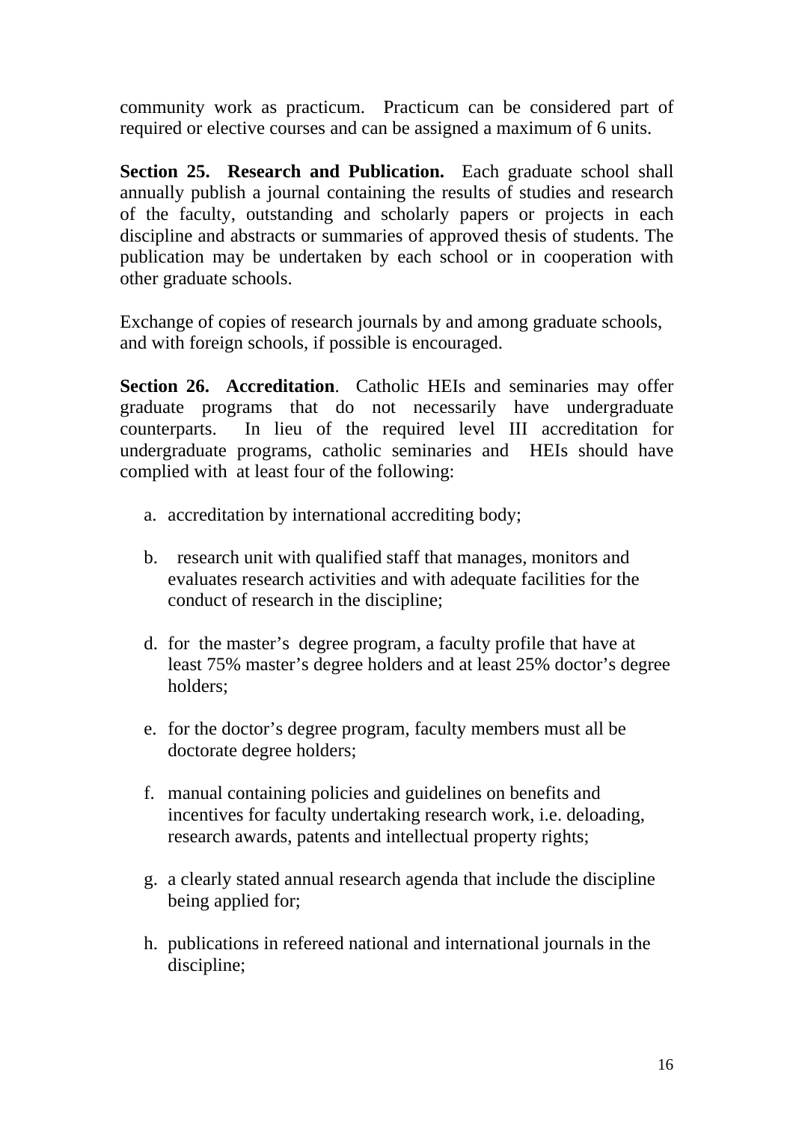community work as practicum. Practicum can be considered part of required or elective courses and can be assigned a maximum of 6 units.

**Section 25. Research and Publication.** Each graduate school shall annually publish a journal containing the results of studies and research of the faculty, outstanding and scholarly papers or projects in each discipline and abstracts or summaries of approved thesis of students. The publication may be undertaken by each school or in cooperation with other graduate schools.

Exchange of copies of research journals by and among graduate schools, and with foreign schools, if possible is encouraged.

**Section 26. Accreditation**. Catholic HEIs and seminaries may offer graduate programs that do not necessarily have undergraduate counterparts. In lieu of the required level III accreditation for undergraduate programs, catholic seminaries and HEIs should have complied with at least four of the following:

- a. accreditation by international accrediting body;
- b. research unit with qualified staff that manages, monitors and evaluates research activities and with adequate facilities for the conduct of research in the discipline;
- d. for the master's degree program, a faculty profile that have at least 75% master's degree holders and at least 25% doctor's degree holders;
- e. for the doctor's degree program, faculty members must all be doctorate degree holders;
- f. manual containing policies and guidelines on benefits and incentives for faculty undertaking research work, i.e. deloading, research awards, patents and intellectual property rights;
- g. a clearly stated annual research agenda that include the discipline being applied for;
- h. publications in refereed national and international journals in the discipline;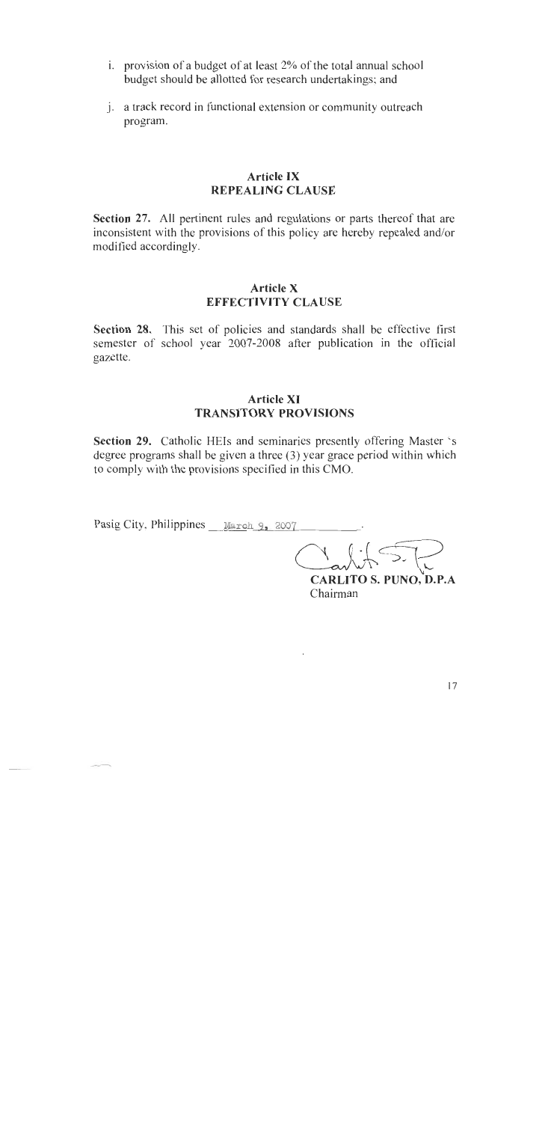- i. provision of a budget of at least 2% of the total annual school budget should be allotted for research undertakings; and
- j. a track record in functional extension or community outreach program.

### **Article IX REPEALING CLAUSE**

Section 27. All pertinent rules and regulations or parts thereof that are inconsistent with the provisions of this policy are hereby repealed and/or modified accordingly.

#### **Article X EFFECTIVITY CLAUSE**

Section 28. This set of policies and standards shall be effective first semester of school year 2007-2008 after publication in the official gazette.

#### **Article XI TRANSITORY PROVISIONS**

Section 29. Catholic HEIs and seminaries presently offering Master 's degree programs shall be given a three (3) year grace period within which to comply with the provisions specified in this CMO.

Pasig City, Philippines March 9, 2007

**CARLITO S. PUNO, D.P.A** Chairman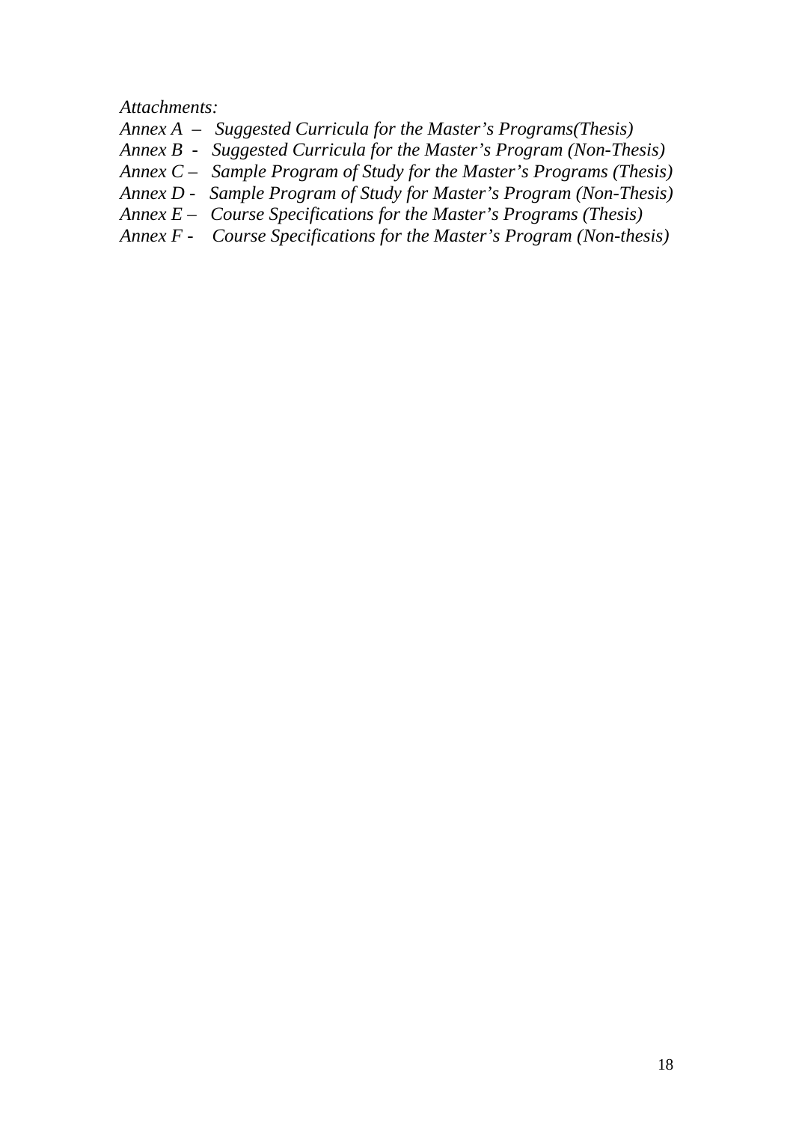*Attachments:* 

- *Annex A Suggested Curricula for the Master's Programs(Thesis)*
- *Annex B Suggested Curricula for the Master's Program (Non-Thesis)*
- *Annex C Sample Program of Study for the Master's Programs (Thesis)*
- *Annex D Sample Program of Study for Master's Program (Non-Thesis)*
- *Annex E Course Specifications for the Master's Programs (Thesis)*
- *Annex F Course Specifications for the Master's Program (Non-thesis)*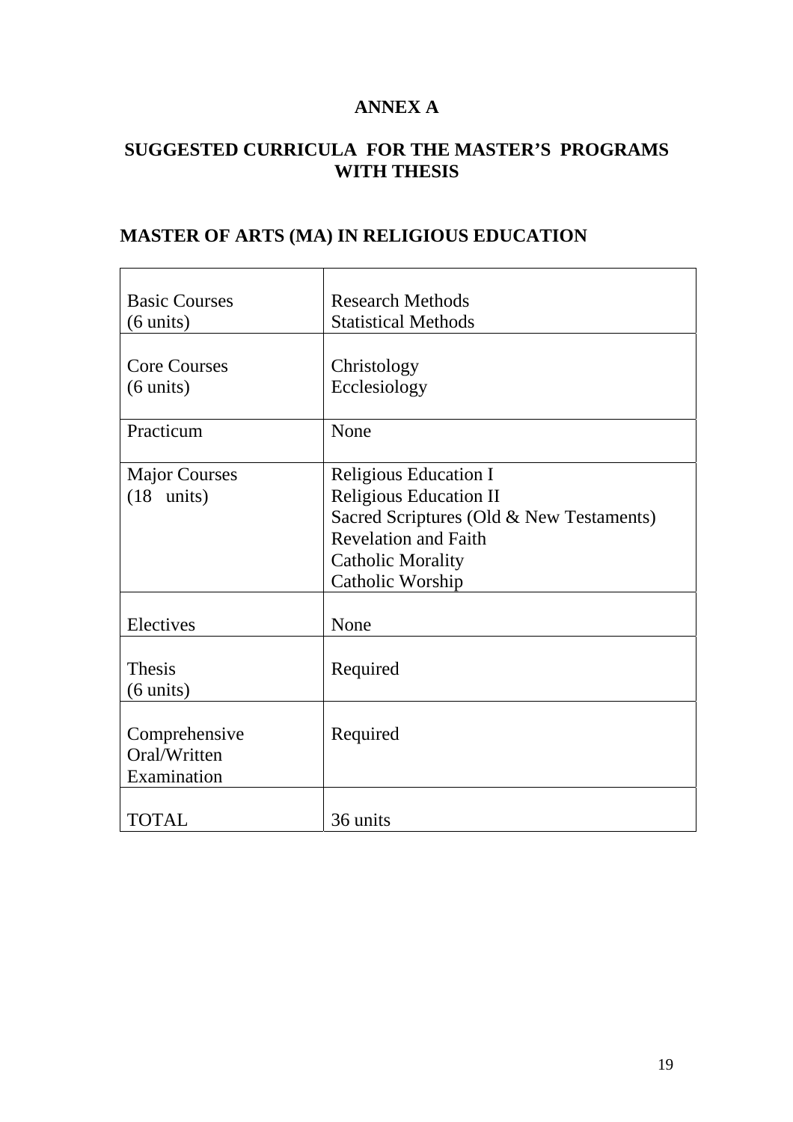## **ANNEX A**

# **SUGGESTED CURRICULA FOR THE MASTER'S PROGRAMS WITH THESIS**

# **MASTER OF ARTS (MA) IN RELIGIOUS EDUCATION**

| <b>Basic Courses</b><br>$(6 \text{ units})$  | <b>Research Methods</b><br><b>Statistical Methods</b>                                                                                                                                    |
|----------------------------------------------|------------------------------------------------------------------------------------------------------------------------------------------------------------------------------------------|
| <b>Core Courses</b><br>$(6 \text{ units})$   | Christology<br>Ecclesiology                                                                                                                                                              |
| Practicum                                    | None                                                                                                                                                                                     |
| <b>Major Courses</b><br>$(18$ units)         | <b>Religious Education I</b><br><b>Religious Education II</b><br>Sacred Scriptures (Old & New Testaments)<br><b>Revelation and Faith</b><br><b>Catholic Morality</b><br>Catholic Worship |
| Electives                                    | None                                                                                                                                                                                     |
| <b>Thesis</b><br>$(6 \text{ units})$         | Required                                                                                                                                                                                 |
| Comprehensive<br>Oral/Written<br>Examination | Required                                                                                                                                                                                 |
| <b>TOTAL</b>                                 | 36 units                                                                                                                                                                                 |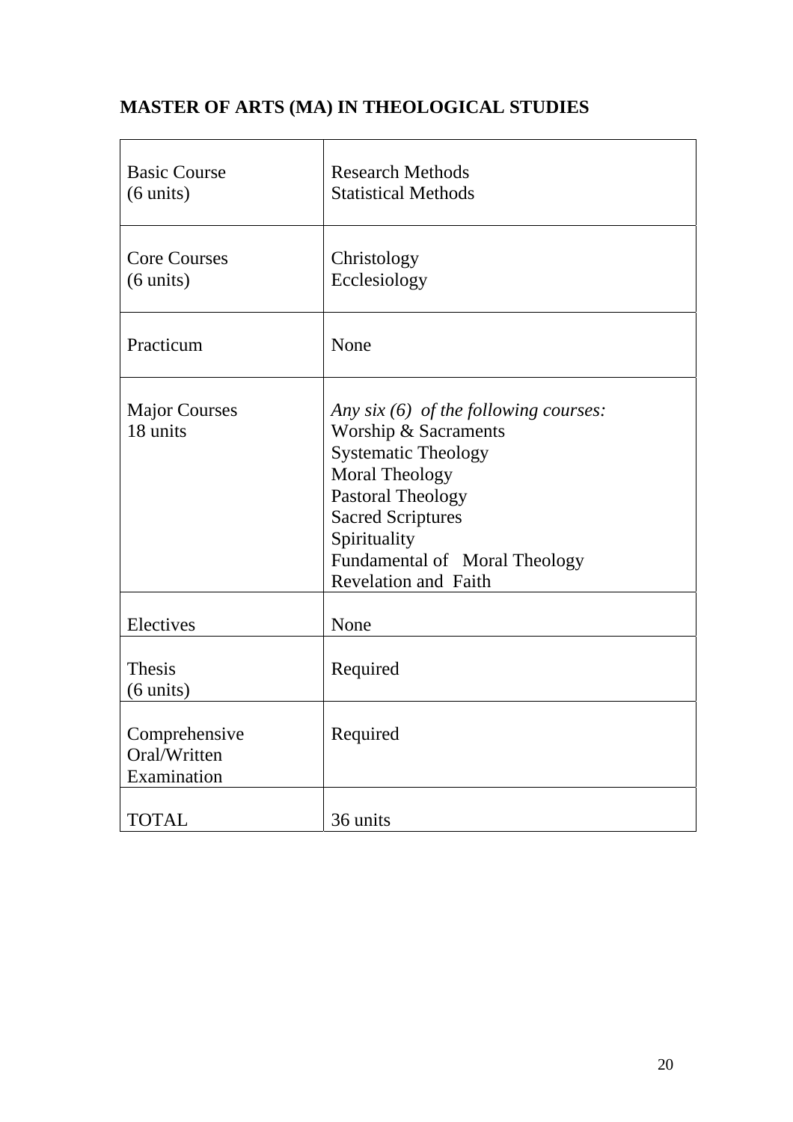# **MASTER OF ARTS (MA) IN THEOLOGICAL STUDIES**

| <b>Basic Course</b><br>$(6 \text{ units})$   | <b>Research Methods</b><br><b>Statistical Methods</b>                                                                                                                                                                                                          |
|----------------------------------------------|----------------------------------------------------------------------------------------------------------------------------------------------------------------------------------------------------------------------------------------------------------------|
| <b>Core Courses</b><br>$(6 \text{ units})$   | Christology<br>Ecclesiology                                                                                                                                                                                                                                    |
| Practicum                                    | None                                                                                                                                                                                                                                                           |
| <b>Major Courses</b><br>18 units             | Any six $(6)$ of the following courses:<br>Worship & Sacraments<br><b>Systematic Theology</b><br><b>Moral Theology</b><br><b>Pastoral Theology</b><br><b>Sacred Scriptures</b><br>Spirituality<br>Fundamental of Moral Theology<br><b>Revelation and Faith</b> |
| Electives                                    | None                                                                                                                                                                                                                                                           |
| <b>Thesis</b><br>$(6 \text{ units})$         | Required                                                                                                                                                                                                                                                       |
| Comprehensive<br>Oral/Written<br>Examination | Required                                                                                                                                                                                                                                                       |
| <b>TOTAL</b>                                 | 36 units                                                                                                                                                                                                                                                       |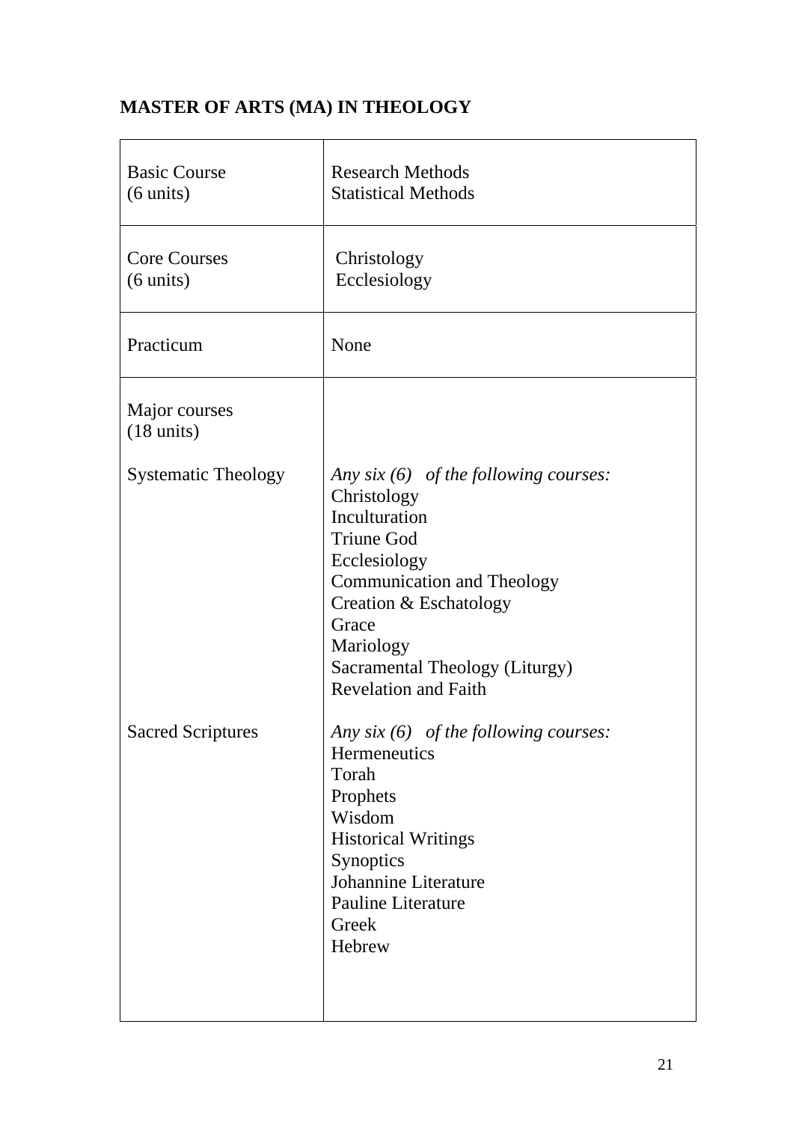# **MASTER OF ARTS (MA) IN THEOLOGY**

| <b>Basic Course</b><br>$(6 \text{ units})$ | <b>Research Methods</b><br><b>Statistical Methods</b>                                                                                                                                                                                                              |
|--------------------------------------------|--------------------------------------------------------------------------------------------------------------------------------------------------------------------------------------------------------------------------------------------------------------------|
| <b>Core Courses</b><br>$(6 \text{ units})$ | Christology<br>Ecclesiology                                                                                                                                                                                                                                        |
| Practicum                                  | None                                                                                                                                                                                                                                                               |
| Major courses<br>$(18 \text{ units})$      |                                                                                                                                                                                                                                                                    |
| <b>Systematic Theology</b>                 | Any six $(6)$ of the following courses:<br>Christology<br>Inculturation<br><b>Triune God</b><br>Ecclesiology<br><b>Communication and Theology</b><br>Creation & Eschatology<br>Grace<br>Mariology<br>Sacramental Theology (Liturgy)<br><b>Revelation and Faith</b> |
| <b>Sacred Scriptures</b>                   | Any six $(6)$ of the following courses:<br>Hermeneutics<br>Torah<br>Prophets<br>Wisdom<br><b>Historical Writings</b><br>Synoptics<br>Johannine Literature<br>Pauline Literature<br>Greek<br>Hebrew                                                                 |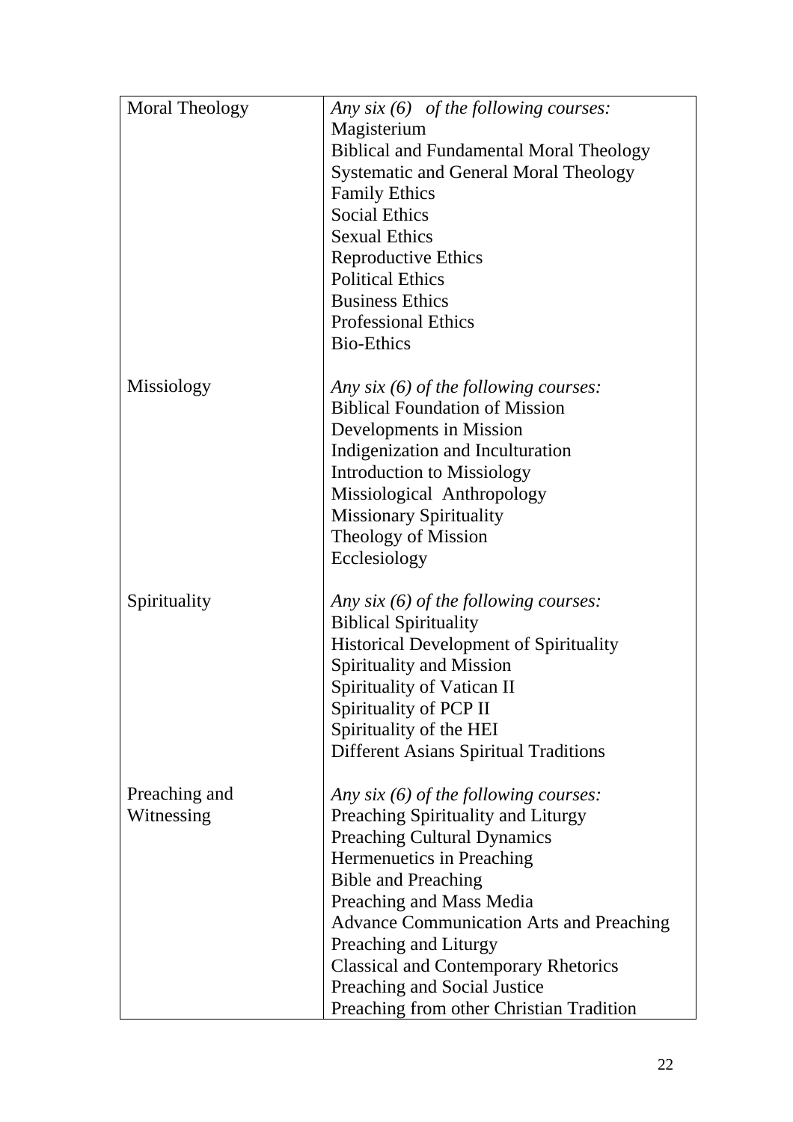| <b>Moral Theology</b> | Any $six(6)$ of the following courses:          |  |
|-----------------------|-------------------------------------------------|--|
|                       | Magisterium                                     |  |
|                       | <b>Biblical and Fundamental Moral Theology</b>  |  |
|                       | <b>Systematic and General Moral Theology</b>    |  |
|                       | <b>Family Ethics</b>                            |  |
|                       | <b>Social Ethics</b>                            |  |
|                       | <b>Sexual Ethics</b>                            |  |
|                       | <b>Reproductive Ethics</b>                      |  |
|                       | <b>Political Ethics</b>                         |  |
|                       | <b>Business Ethics</b>                          |  |
|                       | <b>Professional Ethics</b>                      |  |
|                       | <b>Bio-Ethics</b>                               |  |
|                       |                                                 |  |
| Missiology            | Any six $(6)$ of the following courses:         |  |
|                       | <b>Biblical Foundation of Mission</b>           |  |
|                       | Developments in Mission                         |  |
|                       | Indigenization and Inculturation                |  |
|                       | <b>Introduction to Missiology</b>               |  |
|                       | Missiological Anthropology                      |  |
|                       | <b>Missionary Spirituality</b>                  |  |
|                       | Theology of Mission                             |  |
|                       | Ecclesiology                                    |  |
|                       |                                                 |  |
| Spirituality          | Any six $(6)$ of the following courses:         |  |
|                       | <b>Biblical Spirituality</b>                    |  |
|                       | <b>Historical Development of Spirituality</b>   |  |
|                       | Spirituality and Mission                        |  |
|                       | Spirituality of Vatican II                      |  |
|                       | Spirituality of PCP II                          |  |
|                       | Spirituality of the HEI                         |  |
|                       | <b>Different Asians Spiritual Traditions</b>    |  |
|                       |                                                 |  |
| Preaching and         | Any six $(6)$ of the following courses:         |  |
| Witnessing            | Preaching Spirituality and Liturgy              |  |
|                       | <b>Preaching Cultural Dynamics</b>              |  |
|                       | Hermenuetics in Preaching                       |  |
|                       | <b>Bible and Preaching</b>                      |  |
|                       | Preaching and Mass Media                        |  |
|                       | <b>Advance Communication Arts and Preaching</b> |  |
|                       | Preaching and Liturgy                           |  |
|                       | <b>Classical and Contemporary Rhetorics</b>     |  |
|                       | Preaching and Social Justice                    |  |
|                       |                                                 |  |
|                       | Preaching from other Christian Tradition        |  |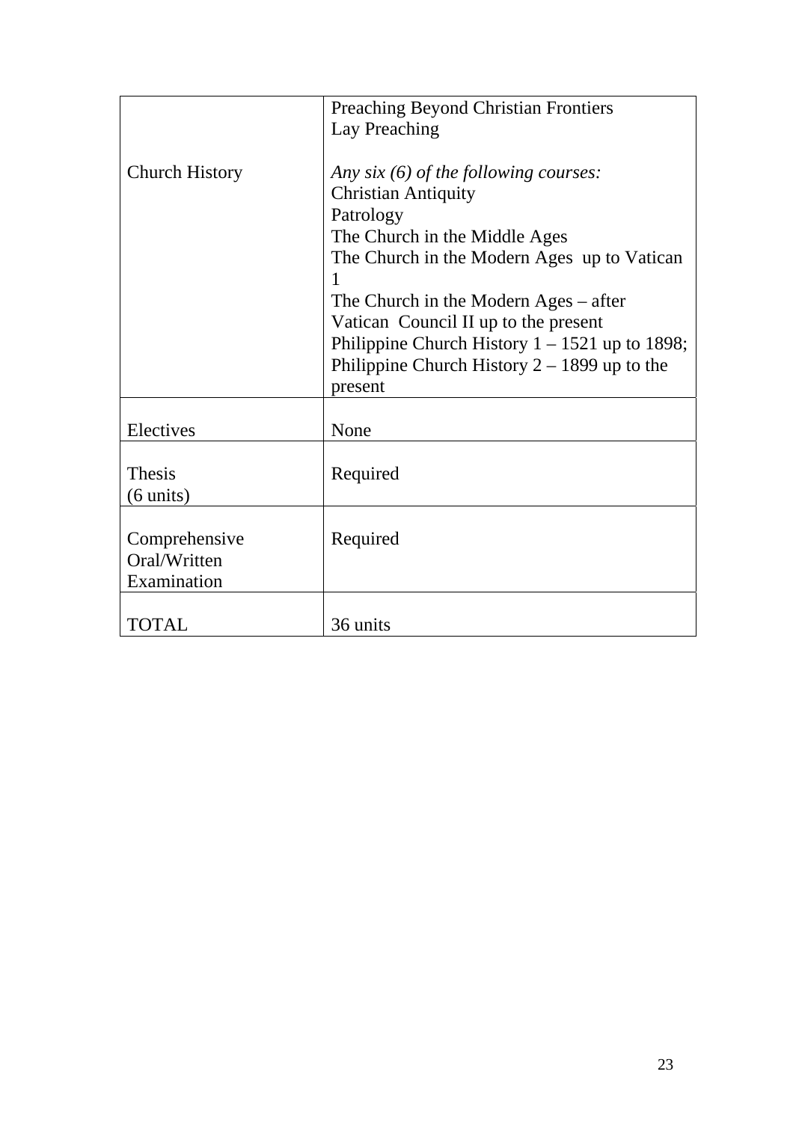|                       | <b>Preaching Beyond Christian Frontiers</b>      |
|-----------------------|--------------------------------------------------|
|                       | Lay Preaching                                    |
|                       |                                                  |
| <b>Church History</b> | Any six $(6)$ of the following courses:          |
|                       | <b>Christian Antiquity</b>                       |
|                       | Patrology                                        |
|                       | The Church in the Middle Ages                    |
|                       | The Church in the Modern Ages up to Vatican      |
|                       |                                                  |
|                       | The Church in the Modern Ages $-$ after          |
|                       | Vatican Council II up to the present             |
|                       | Philippine Church History $1 - 1521$ up to 1898; |
|                       | Philippine Church History $2 - 1899$ up to the   |
|                       | present                                          |
|                       |                                                  |
| Electives             | None                                             |
|                       |                                                  |
| <b>Thesis</b>         | Required                                         |
|                       |                                                  |
| $(6 \text{ units})$   |                                                  |
|                       |                                                  |
| Comprehensive         | Required                                         |
| Oral/Written          |                                                  |
| Examination           |                                                  |
|                       |                                                  |
| <b>TOTAL</b>          | 36 units                                         |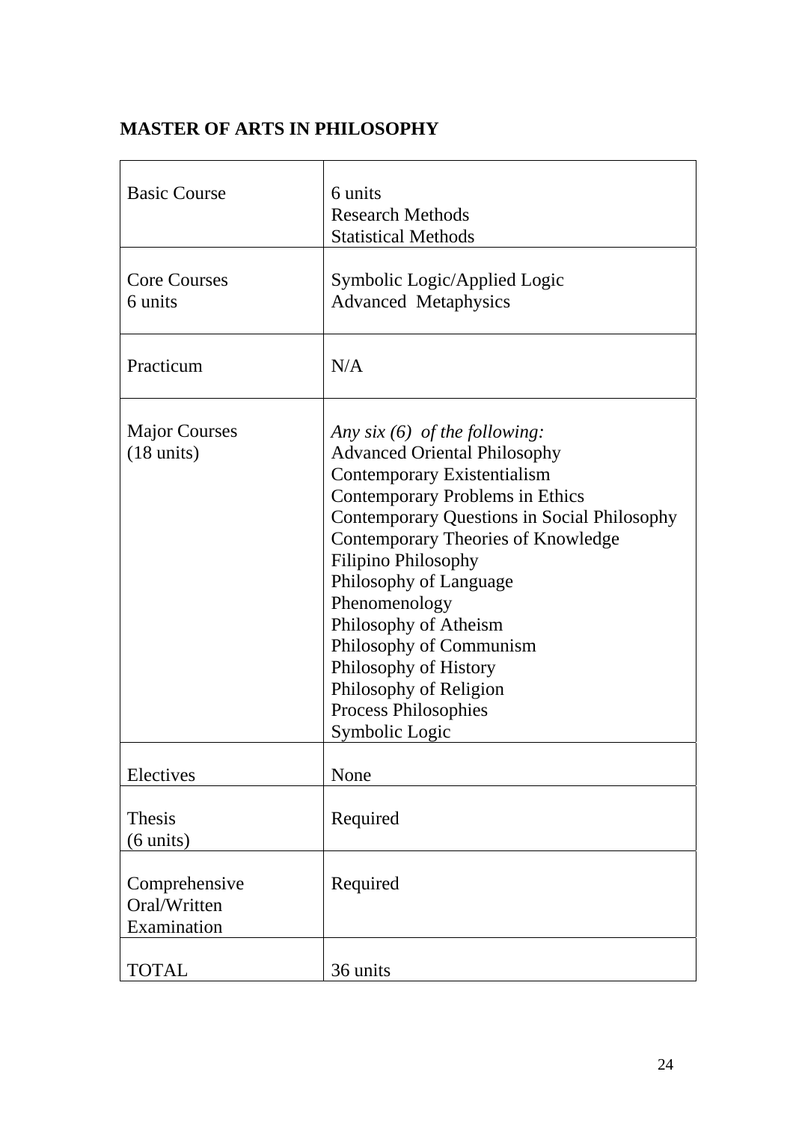# **MASTER OF ARTS IN PHILOSOPHY**

| <b>Basic Course</b>                          | 6 units<br><b>Research Methods</b><br><b>Statistical Methods</b>                                                                                                                                                                                                                                                                                                                                                                                                      |
|----------------------------------------------|-----------------------------------------------------------------------------------------------------------------------------------------------------------------------------------------------------------------------------------------------------------------------------------------------------------------------------------------------------------------------------------------------------------------------------------------------------------------------|
| <b>Core Courses</b><br>6 units               | Symbolic Logic/Applied Logic<br><b>Advanced Metaphysics</b>                                                                                                                                                                                                                                                                                                                                                                                                           |
| Practicum                                    | N/A                                                                                                                                                                                                                                                                                                                                                                                                                                                                   |
| <b>Major Courses</b><br>$(18 \text{ units})$ | Any six $(6)$ of the following:<br><b>Advanced Oriental Philosophy</b><br>Contemporary Existentialism<br><b>Contemporary Problems in Ethics</b><br><b>Contemporary Questions in Social Philosophy</b><br>Contemporary Theories of Knowledge<br>Filipino Philosophy<br>Philosophy of Language<br>Phenomenology<br>Philosophy of Atheism<br>Philosophy of Communism<br>Philosophy of History<br>Philosophy of Religion<br><b>Process Philosophies</b><br>Symbolic Logic |
| Electives                                    | None                                                                                                                                                                                                                                                                                                                                                                                                                                                                  |
| <b>Thesis</b><br>(6 units)                   | Required                                                                                                                                                                                                                                                                                                                                                                                                                                                              |
| Comprehensive<br>Oral/Written<br>Examination | Required                                                                                                                                                                                                                                                                                                                                                                                                                                                              |
| <b>TOTAL</b>                                 | 36 units                                                                                                                                                                                                                                                                                                                                                                                                                                                              |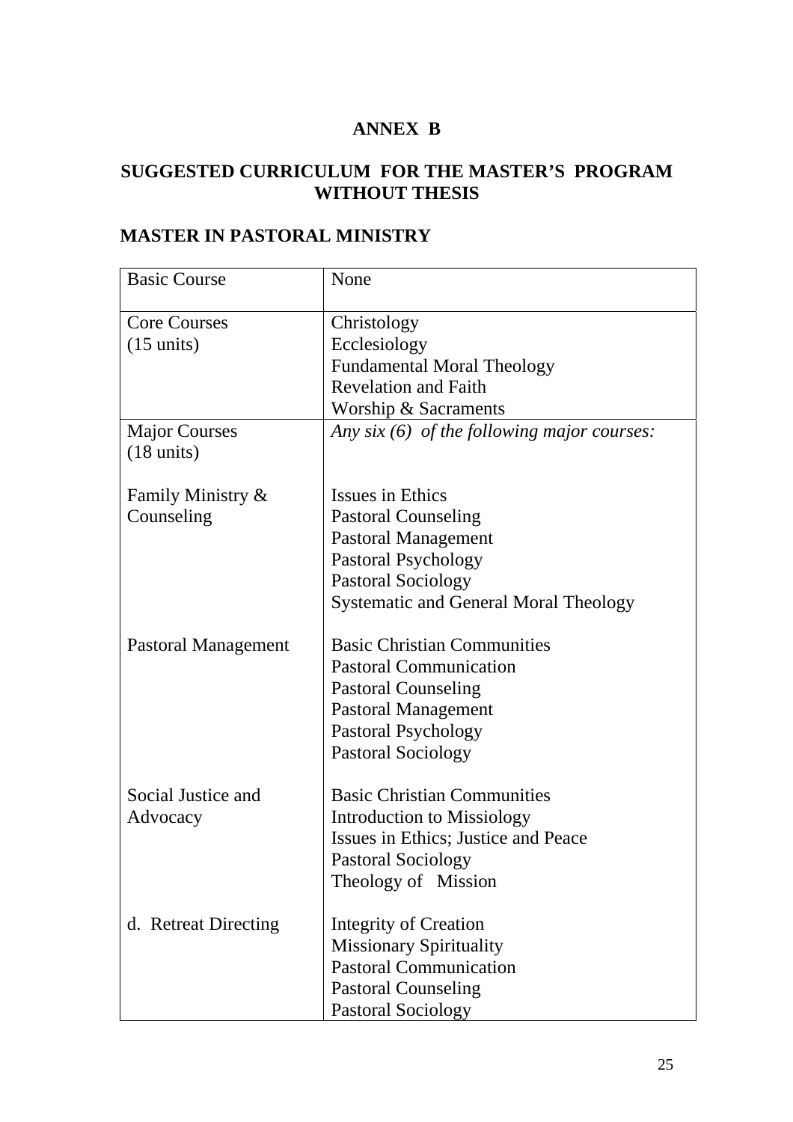# **ANNEX B**

# **SUGGESTED CURRICULUM FOR THE MASTER'S PROGRAM WITHOUT THESIS**

| <b>Basic Course</b>  | None                                         |
|----------------------|----------------------------------------------|
| <b>Core Courses</b>  | Christology                                  |
| $(15 \text{ units})$ | Ecclesiology                                 |
|                      | <b>Fundamental Moral Theology</b>            |
|                      | <b>Revelation and Faith</b>                  |
|                      | Worship & Sacraments                         |
| <b>Major Courses</b> | Any $six(6)$ of the following major courses: |
| $(18 \text{ units})$ |                                              |
| Family Ministry &    | Issues in Ethics                             |
| Counseling           | <b>Pastoral Counseling</b>                   |
|                      | <b>Pastoral Management</b>                   |
|                      | <b>Pastoral Psychology</b>                   |
|                      | <b>Pastoral Sociology</b>                    |
|                      | <b>Systematic and General Moral Theology</b> |
| Pastoral Management  | <b>Basic Christian Communities</b>           |
|                      | <b>Pastoral Communication</b>                |
|                      | <b>Pastoral Counseling</b>                   |
|                      | <b>Pastoral Management</b>                   |
|                      | <b>Pastoral Psychology</b>                   |
|                      | <b>Pastoral Sociology</b>                    |
| Social Justice and   | <b>Basic Christian Communities</b>           |
| Advocacy             | Introduction to Missiology                   |
|                      | Issues in Ethics; Justice and Peace          |
|                      | <b>Pastoral Sociology</b>                    |
|                      | Theology of Mission                          |
| d. Retreat Directing | Integrity of Creation                        |
|                      | <b>Missionary Spirituality</b>               |
|                      | <b>Pastoral Communication</b>                |
|                      | <b>Pastoral Counseling</b>                   |
|                      | <b>Pastoral Sociology</b>                    |

# **MASTER IN PASTORAL MINISTRY**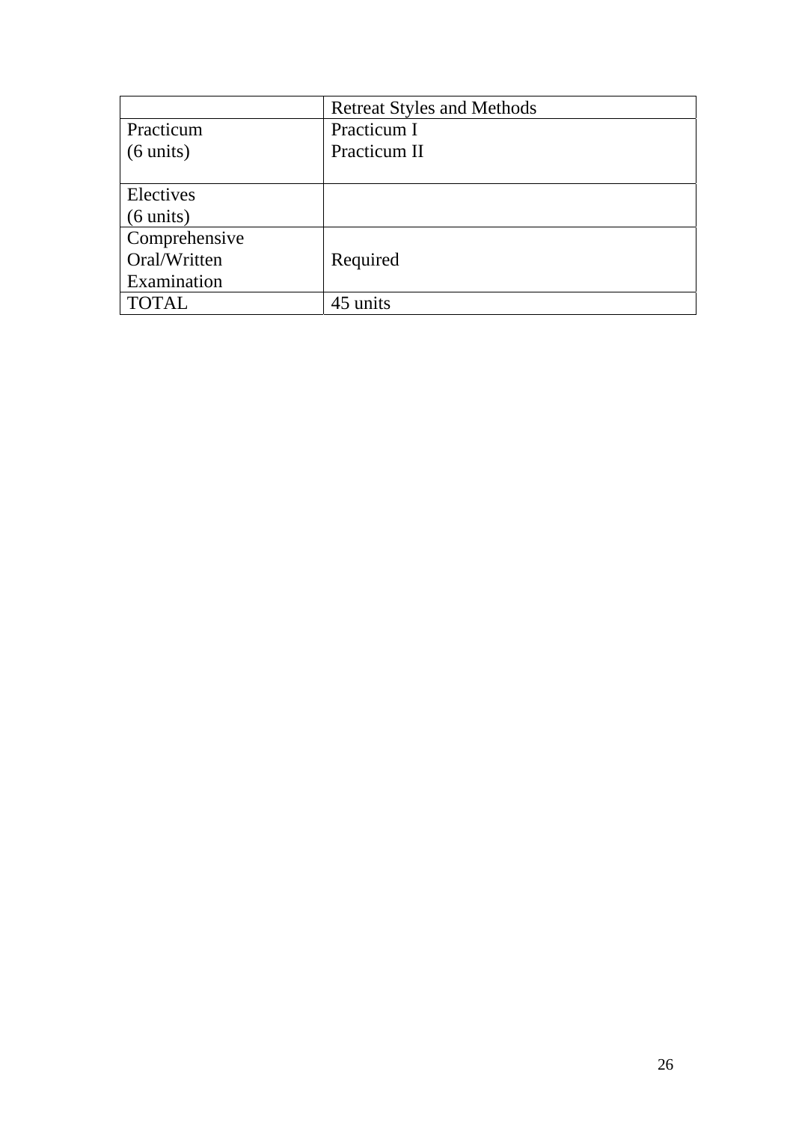|                     | <b>Retreat Styles and Methods</b> |
|---------------------|-----------------------------------|
| Practicum           | Practicum I                       |
| $(6 \text{ units})$ | Practicum II                      |
|                     |                                   |
| Electives           |                                   |
| $(6 \text{ units})$ |                                   |
| Comprehensive       |                                   |
| Oral/Written        | Required                          |
| Examination         |                                   |
| <b>TOTAL</b>        | 45 units                          |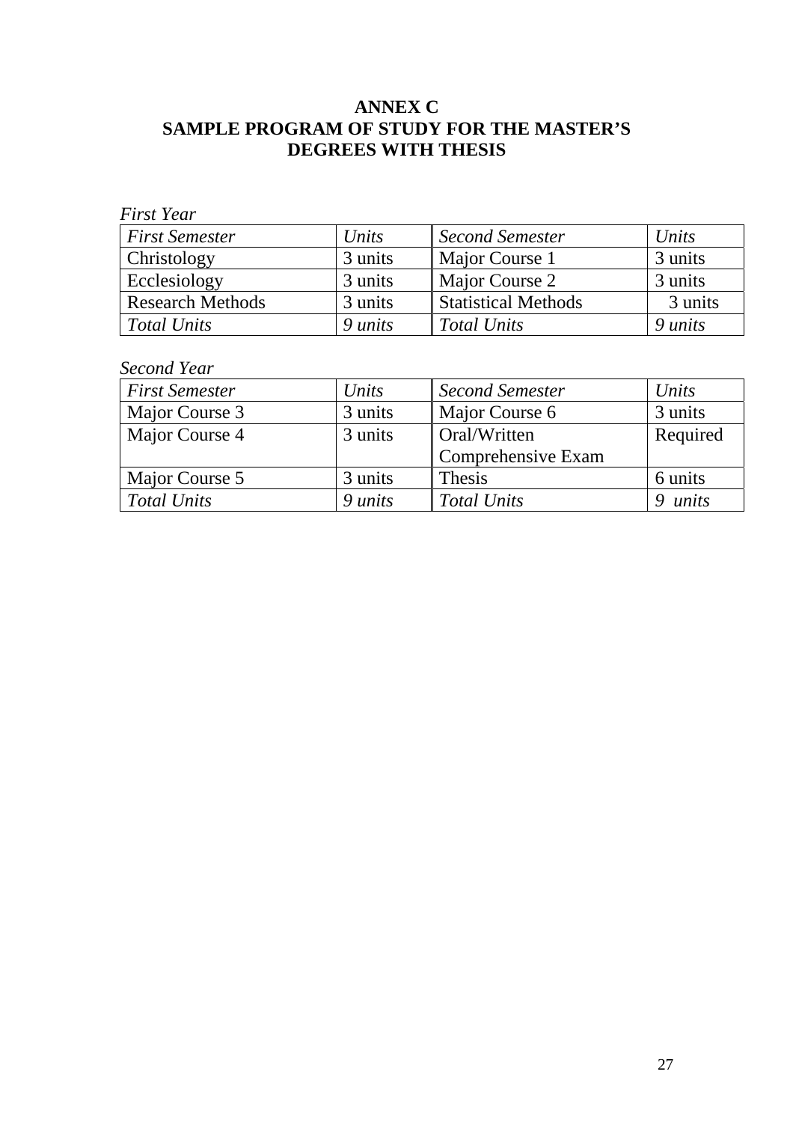## **ANNEX C SAMPLE PROGRAM OF STUDY FOR THE MASTER'S DEGREES WITH THESIS**

| <b>First Semester</b>   | Units   | Second Semester            | Units   |
|-------------------------|---------|----------------------------|---------|
| Christology             | 3 units | Major Course 1             | 3 units |
| Ecclesiology            | 3 units | Major Course 2             | 3 units |
| <b>Research Methods</b> | 3 units | <b>Statistical Methods</b> | 3 units |
| <b>Total Units</b>      | 9 units | <b>Total Units</b>         | 9 units |

## *Second Year*

| <b>First Semester</b> | Units   | <b>Second Semester</b> | Units    |
|-----------------------|---------|------------------------|----------|
| Major Course 3        | 3 units | Major Course 6         | 3 units  |
| Major Course 4        | 3 units | Oral/Written           | Required |
|                       |         | Comprehensive Exam     |          |
| Major Course 5        | 3 units | <b>Thesis</b>          | 6 units  |
| Total Units           | 9 units | <b>Total Units</b>     | units    |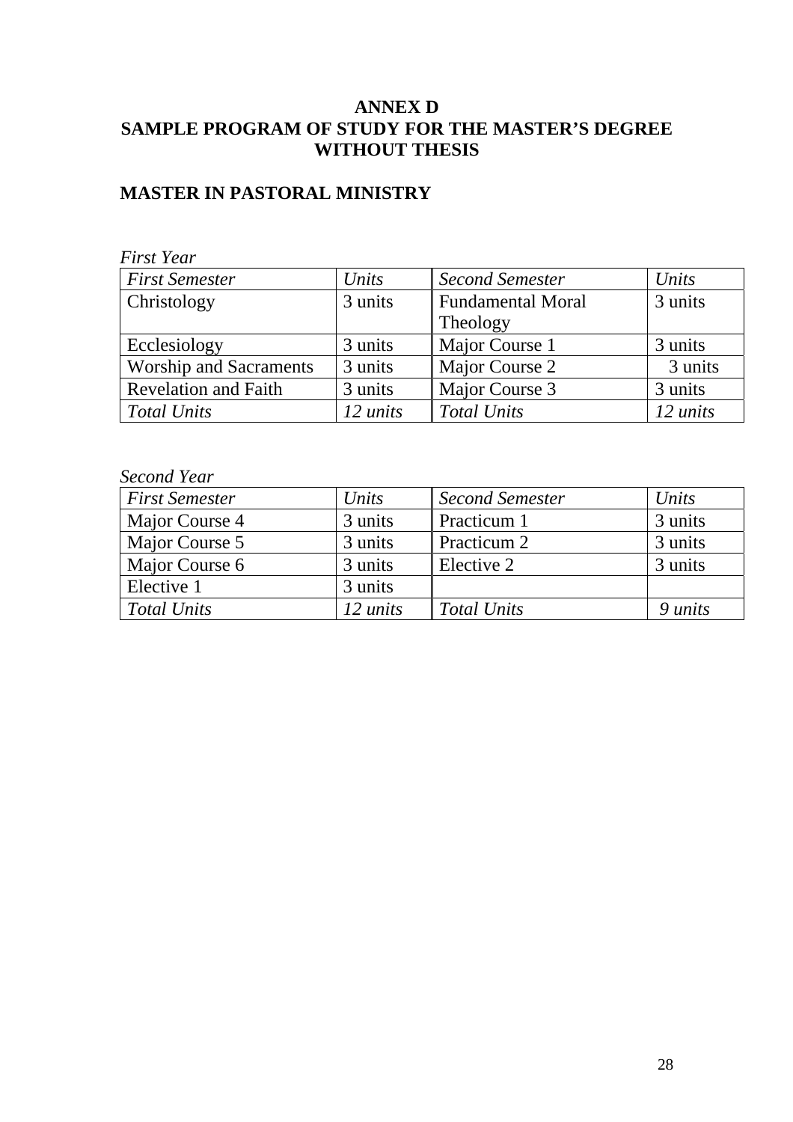## **ANNEX D SAMPLE PROGRAM OF STUDY FOR THE MASTER'S DEGREE WITHOUT THESIS**

## **MASTER IN PASTORAL MINISTRY**

### *First Year First Semester Units Second Semester Units*  Christology 3 units Fundamental Moral Theology 3 units Ecclesiology 3 units Major Course 1 3 units Worship and Sacraments 3 units Major Course 2 3 units Revelation and Faith 3 units Major Course 3 3 units *Total Units 12 units Total Units 12 units*

#### *Second Year*

| <b>First Semester</b> | Units    | <b>Second Semester</b> | Units          |
|-----------------------|----------|------------------------|----------------|
| Major Course 4        | 3 units  | Practicum 1            | 3 units        |
| Major Course 5        | 3 units  | Practicum 2            | 3 units        |
| Major Course 6        | 3 units  | Elective 2             | 3 units        |
| Elective 1            | 3 units  |                        |                |
| <b>Total Units</b>    | 12 units | Total Units            | 9 <i>units</i> |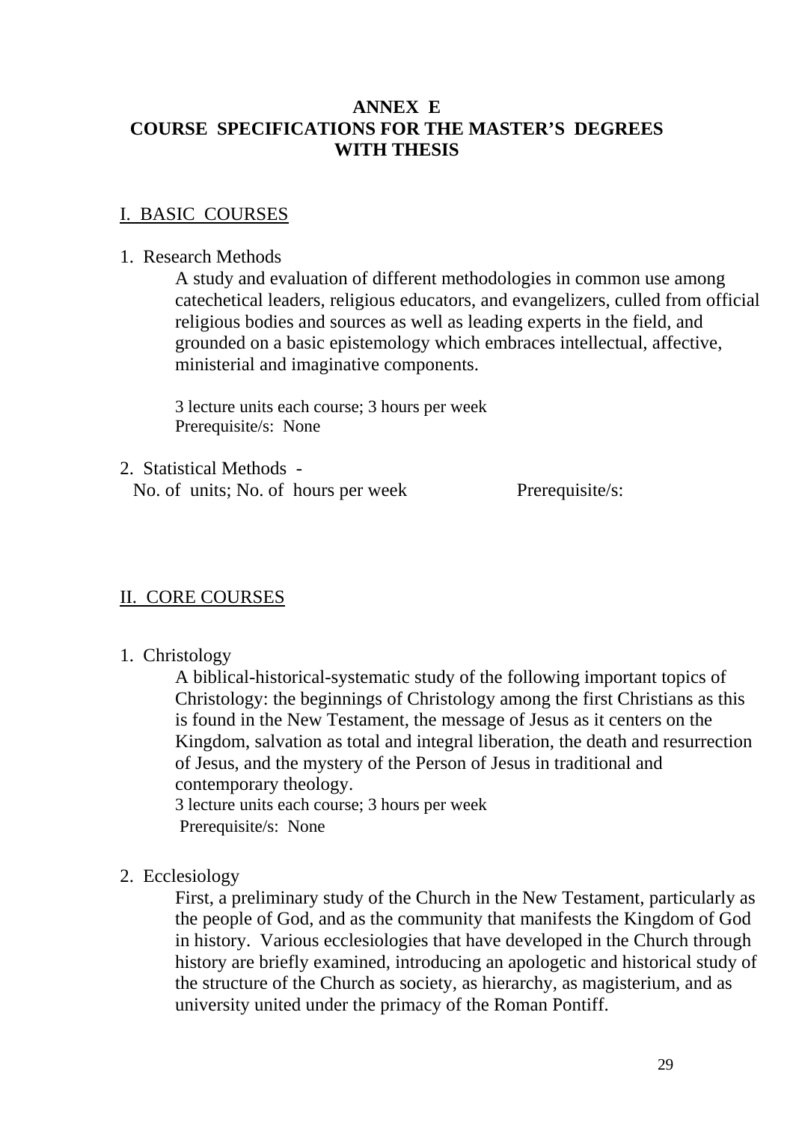## **ANNEX E COURSE SPECIFICATIONS FOR THE MASTER'S DEGREES WITH THESIS**

## I. BASIC COURSES

#### 1. Research Methods

A study and evaluation of different methodologies in common use among catechetical leaders, religious educators, and evangelizers, culled from official religious bodies and sources as well as leading experts in the field, and grounded on a basic epistemology which embraces intellectual, affective, ministerial and imaginative components.

3 lecture units each course; 3 hours per week Prerequisite/s: None

2. Statistical Methods - No. of units; No. of hours per week Prerequisite/s:

### II. CORE COURSES

1. Christology

A biblical-historical-systematic study of the following important topics of Christology: the beginnings of Christology among the first Christians as this is found in the New Testament, the message of Jesus as it centers on the Kingdom, salvation as total and integral liberation, the death and resurrection of Jesus, and the mystery of the Person of Jesus in traditional and contemporary theology.

3 lecture units each course; 3 hours per week Prerequisite/s: None

2. Ecclesiology

First, a preliminary study of the Church in the New Testament, particularly as the people of God, and as the community that manifests the Kingdom of God in history. Various ecclesiologies that have developed in the Church through history are briefly examined, introducing an apologetic and historical study of the structure of the Church as society, as hierarchy, as magisterium, and as university united under the primacy of the Roman Pontiff.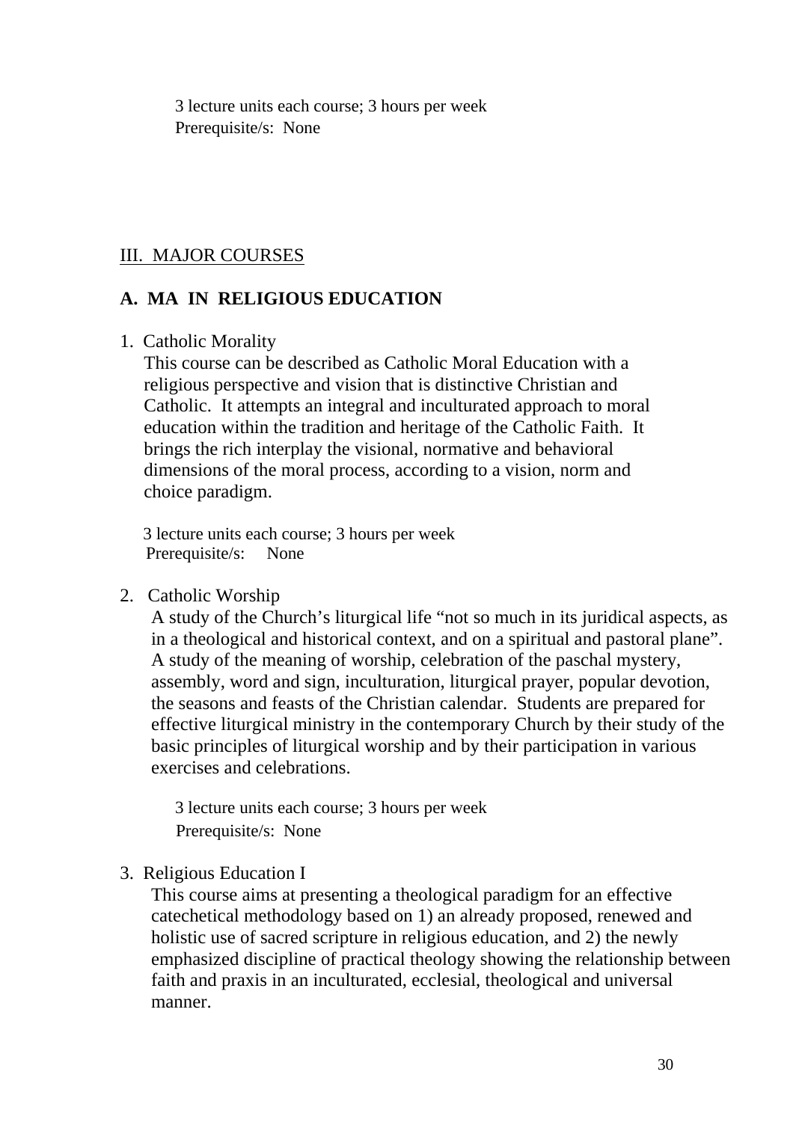3 lecture units each course; 3 hours per week Prerequisite/s: None

## III. MAJOR COURSES

## **A. MA IN RELIGIOUS EDUCATION**

1. Catholic Morality

This course can be described as Catholic Moral Education with a religious perspective and vision that is distinctive Christian and Catholic. It attempts an integral and inculturated approach to moral education within the tradition and heritage of the Catholic Faith. It brings the rich interplay the visional, normative and behavioral dimensions of the moral process, according to a vision, norm and choice paradigm.

 3 lecture units each course; 3 hours per week Prerequisite/s: None

2. Catholic Worship

A study of the Church's liturgical life "not so much in its juridical aspects, as in a theological and historical context, and on a spiritual and pastoral plane". A study of the meaning of worship, celebration of the paschal mystery, assembly, word and sign, inculturation, liturgical prayer, popular devotion, the seasons and feasts of the Christian calendar. Students are prepared for effective liturgical ministry in the contemporary Church by their study of the basic principles of liturgical worship and by their participation in various exercises and celebrations.

3 lecture units each course; 3 hours per week Prerequisite/s: None

## 3. Religious Education I

This course aims at presenting a theological paradigm for an effective catechetical methodology based on 1) an already proposed, renewed and holistic use of sacred scripture in religious education, and 2) the newly emphasized discipline of practical theology showing the relationship between faith and praxis in an inculturated, ecclesial, theological and universal manner.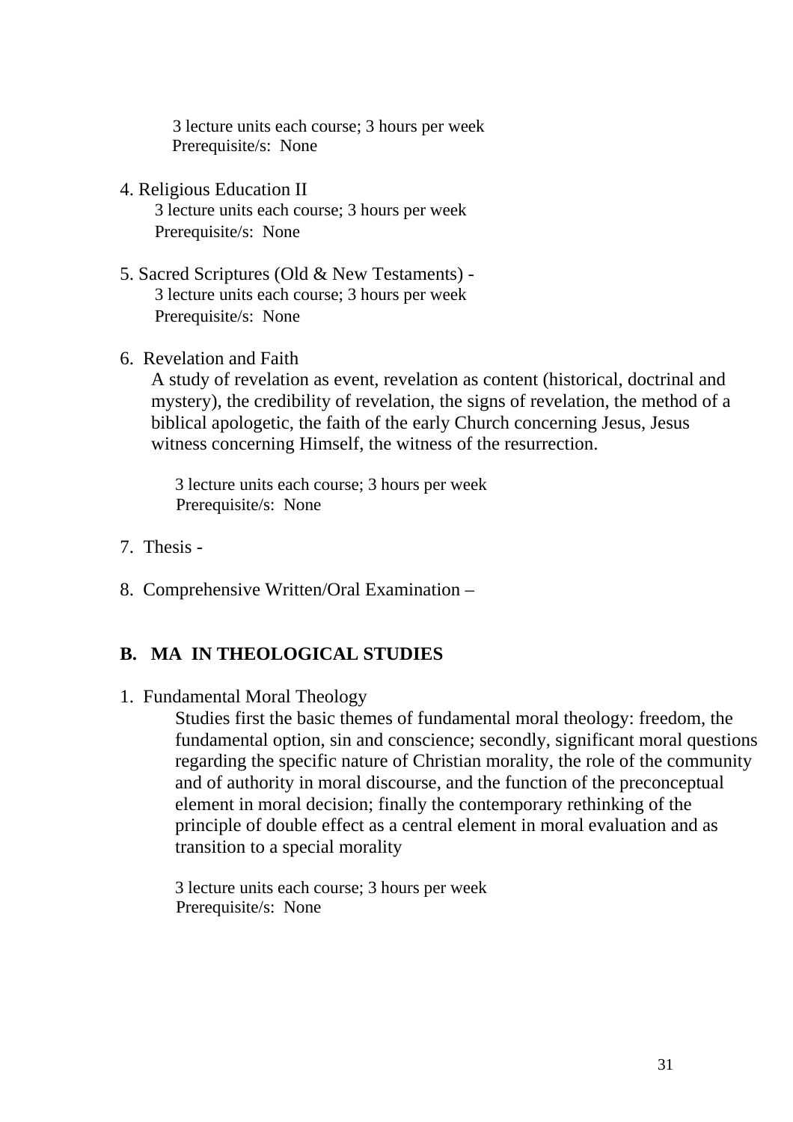3 lecture units each course; 3 hours per week Prerequisite/s: None

- 4. Religious Education II 3 lecture units each course; 3 hours per week Prerequisite/s: None
- 5. Sacred Scriptures (Old & New Testaments) 3 lecture units each course; 3 hours per week Prerequisite/s: None
- 6. Revelation and Faith

A study of revelation as event, revelation as content (historical, doctrinal and mystery), the credibility of revelation, the signs of revelation, the method of a biblical apologetic, the faith of the early Church concerning Jesus, Jesus witness concerning Himself, the witness of the resurrection.

3 lecture units each course; 3 hours per week Prerequisite/s: None

- 7. Thesis -
- 8. Comprehensive Written/Oral Examination –

## **B. MA IN THEOLOGICAL STUDIES**

1. Fundamental Moral Theology

Studies first the basic themes of fundamental moral theology: freedom, the fundamental option, sin and conscience; secondly, significant moral questions regarding the specific nature of Christian morality, the role of the community and of authority in moral discourse, and the function of the preconceptual element in moral decision; finally the contemporary rethinking of the principle of double effect as a central element in moral evaluation and as transition to a special morality

3 lecture units each course; 3 hours per week Prerequisite/s: None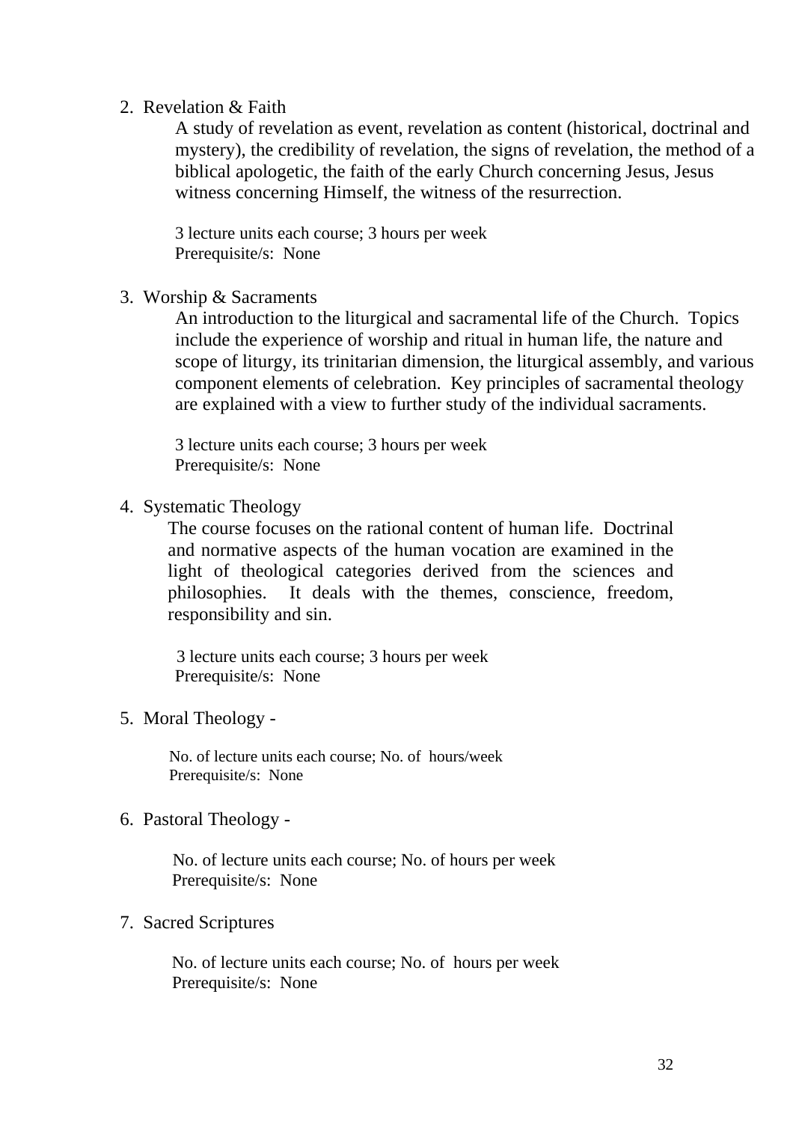#### 2. Revelation & Faith

A study of revelation as event, revelation as content (historical, doctrinal and mystery), the credibility of revelation, the signs of revelation, the method of a biblical apologetic, the faith of the early Church concerning Jesus, Jesus witness concerning Himself, the witness of the resurrection.

3 lecture units each course; 3 hours per week Prerequisite/s: None

3. Worship & Sacraments

An introduction to the liturgical and sacramental life of the Church. Topics include the experience of worship and ritual in human life, the nature and scope of liturgy, its trinitarian dimension, the liturgical assembly, and various component elements of celebration. Key principles of sacramental theology are explained with a view to further study of the individual sacraments.

3 lecture units each course; 3 hours per week Prerequisite/s: None

4. Systematic Theology

The course focuses on the rational content of human life. Doctrinal and normative aspects of the human vocation are examined in the light of theological categories derived from the sciences and philosophies. It deals with the themes, conscience, freedom, responsibility and sin.

 3 lecture units each course; 3 hours per week Prerequisite/s: None

5. Moral Theology -

 No. of lecture units each course; No. of hours/week Prerequisite/s: None

6. Pastoral Theology -

 No. of lecture units each course; No. of hours per week Prerequisite/s: None

#### 7. Sacred Scriptures

 No. of lecture units each course; No. of hours per week Prerequisite/s: None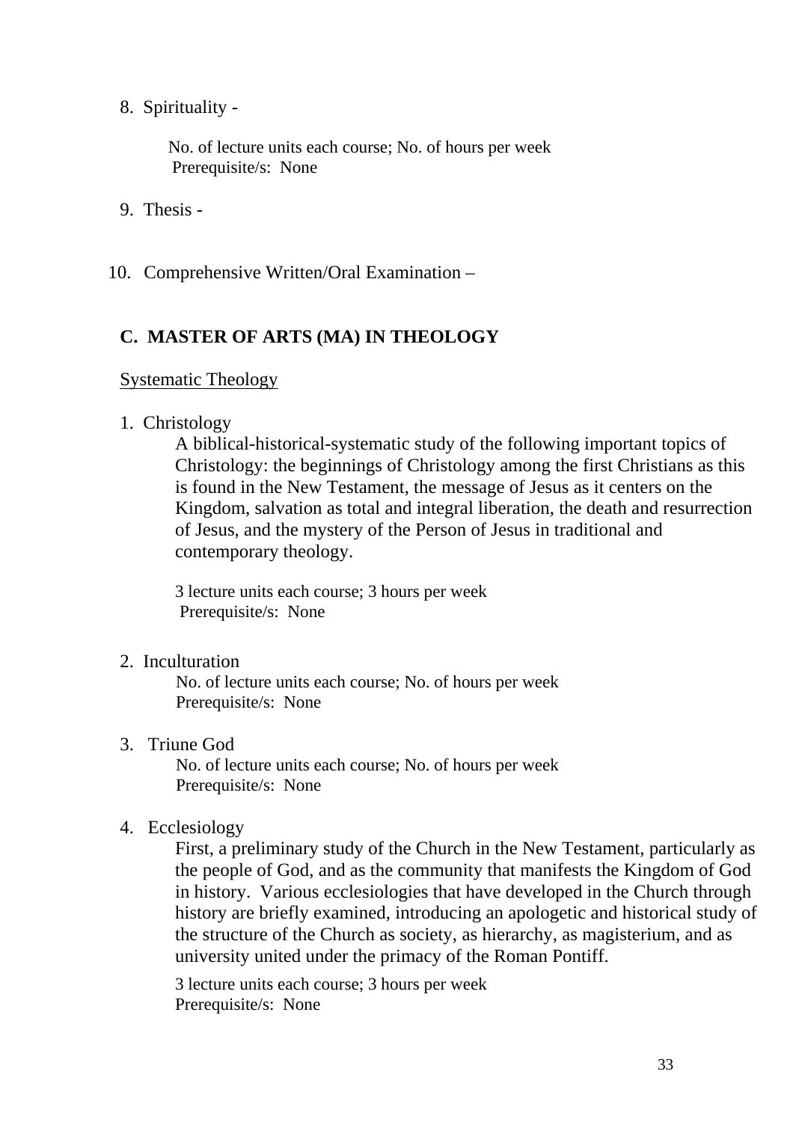8. Spirituality -

 No. of lecture units each course; No. of hours per week Prerequisite/s: None

- 9. Thesis -
- 10. Comprehensive Written/Oral Examination –

### **C. MASTER OF ARTS (MA) IN THEOLOGY**

#### Systematic Theology

#### 1. Christology

A biblical-historical-systematic study of the following important topics of Christology: the beginnings of Christology among the first Christians as this is found in the New Testament, the message of Jesus as it centers on the Kingdom, salvation as total and integral liberation, the death and resurrection of Jesus, and the mystery of the Person of Jesus in traditional and contemporary theology.

3 lecture units each course; 3 hours per week Prerequisite/s: None

2. Inculturation

 No. of lecture units each course; No. of hours per week Prerequisite/s: None

3. Triune God

 No. of lecture units each course; No. of hours per week Prerequisite/s: None

### 4. Ecclesiology

First, a preliminary study of the Church in the New Testament, particularly as the people of God, and as the community that manifests the Kingdom of God in history. Various ecclesiologies that have developed in the Church through history are briefly examined, introducing an apologetic and historical study of the structure of the Church as society, as hierarchy, as magisterium, and as university united under the primacy of the Roman Pontiff.

3 lecture units each course; 3 hours per week Prerequisite/s: None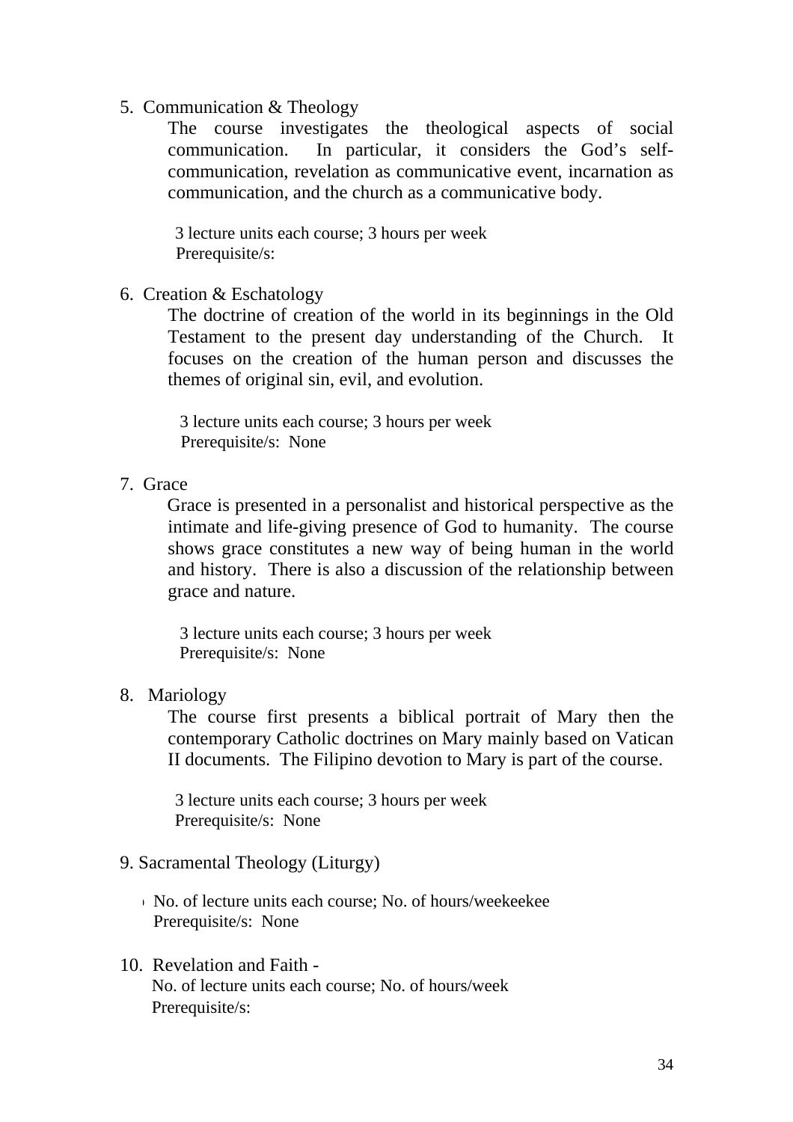5. Communication & Theology

The course investigates the theological aspects of social communication. In particular, it considers the God's selfcommunication, revelation as communicative event, incarnation as communication, and the church as a communicative body.

3 lecture units each course; 3 hours per week Prerequisite/s:

6. Creation & Eschatology

The doctrine of creation of the world in its beginnings in the Old Testament to the present day understanding of the Church. It focuses on the creation of the human person and discusses the themes of original sin, evil, and evolution.

3 lecture units each course; 3 hours per week Prerequisite/s: None

7. Grace

Grace is presented in a personalist and historical perspective as the intimate and life-giving presence of God to humanity. The course shows grace constitutes a new way of being human in the world and history. There is also a discussion of the relationship between grace and nature.

3 lecture units each course; 3 hours per week Prerequisite/s: None

8. Mariology

The course first presents a biblical portrait of Mary then the contemporary Catholic doctrines on Mary mainly based on Vatican II documents. The Filipino devotion to Mary is part of the course.

3 lecture units each course; 3 hours per week Prerequisite/s: None

### 9. Sacramental Theology (Liturgy)

- $\sim$  No. of lecture units each course: No. of hours/weekeekee Prerequisite/s: None
- 10. Revelation and Faith No. of lecture units each course; No. of hours/week Prerequisite/s: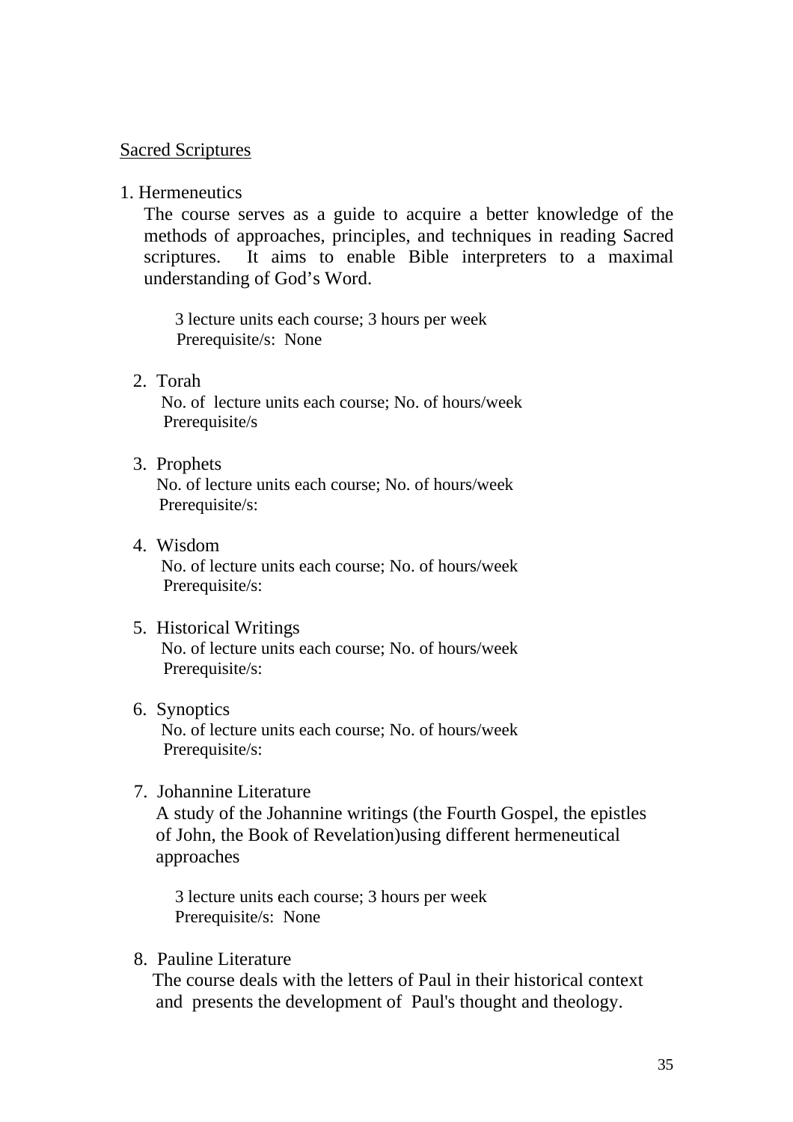#### Sacred Scriptures

1. Hermeneutics

The course serves as a guide to acquire a better knowledge of the methods of approaches, principles, and techniques in reading Sacred scriptures. It aims to enable Bible interpreters to a maximal understanding of God's Word.

3 lecture units each course; 3 hours per week Prerequisite/s: None

2. Torah

 No. of lecture units each course; No. of hours/week Prerequisite/s

3. Prophets

 No. of lecture units each course; No. of hours/week Prerequisite/s:

4. Wisdom No. of lecture units each course; No. of hours/week Prerequisite/s:

#### 5. Historical Writings No. of lecture units each course; No. of hours/week Prerequisite/s:

6. Synoptics

 No. of lecture units each course; No. of hours/week Prerequisite/s:

7. Johannine Literature

A study of the Johannine writings (the Fourth Gospel, the epistles of John, the Book of Revelation)using different hermeneutical approaches

3 lecture units each course; 3 hours per week Prerequisite/s: None

8. Pauline Literature

 The course deals with the letters of Paul in their historical context and presents the development of Paul's thought and theology.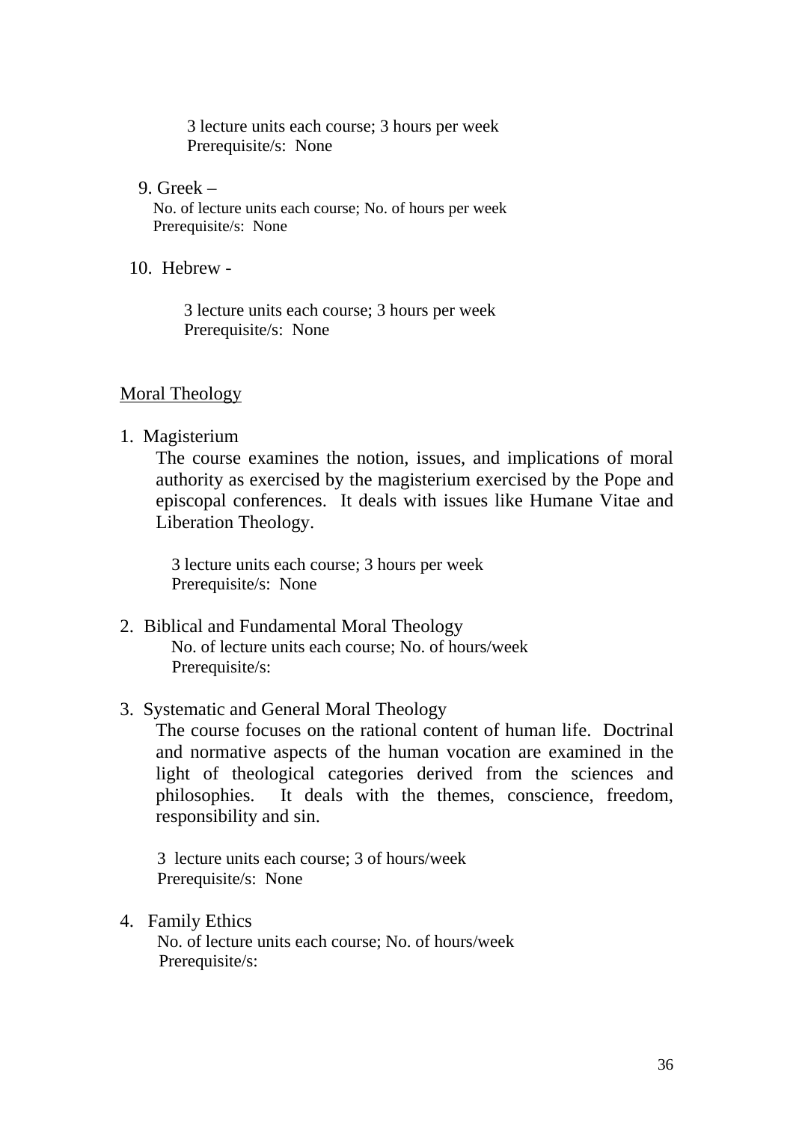3 lecture units each course; 3 hours per week Prerequisite/s: None

9. Greek –

 No. of lecture units each course; No. of hours per week Prerequisite/s: None

10. Hebrew -

 3 lecture units each course; 3 hours per week Prerequisite/s: None

#### Moral Theology

1. Magisterium

The course examines the notion, issues, and implications of moral authority as exercised by the magisterium exercised by the Pope and episcopal conferences. It deals with issues like Humane Vitae and Liberation Theology.

3 lecture units each course; 3 hours per week Prerequisite/s: None

- 2. Biblical and Fundamental Moral Theology No. of lecture units each course; No. of hours/week Prerequisite/s:
- 3. Systematic and General Moral Theology

The course focuses on the rational content of human life. Doctrinal and normative aspects of the human vocation are examined in the light of theological categories derived from the sciences and philosophies. It deals with the themes, conscience, freedom, responsibility and sin.

 3 lecture units each course; 3 of hours/week Prerequisite/s: None

4. Family Ethics

 No. of lecture units each course; No. of hours/week Prerequisite/s: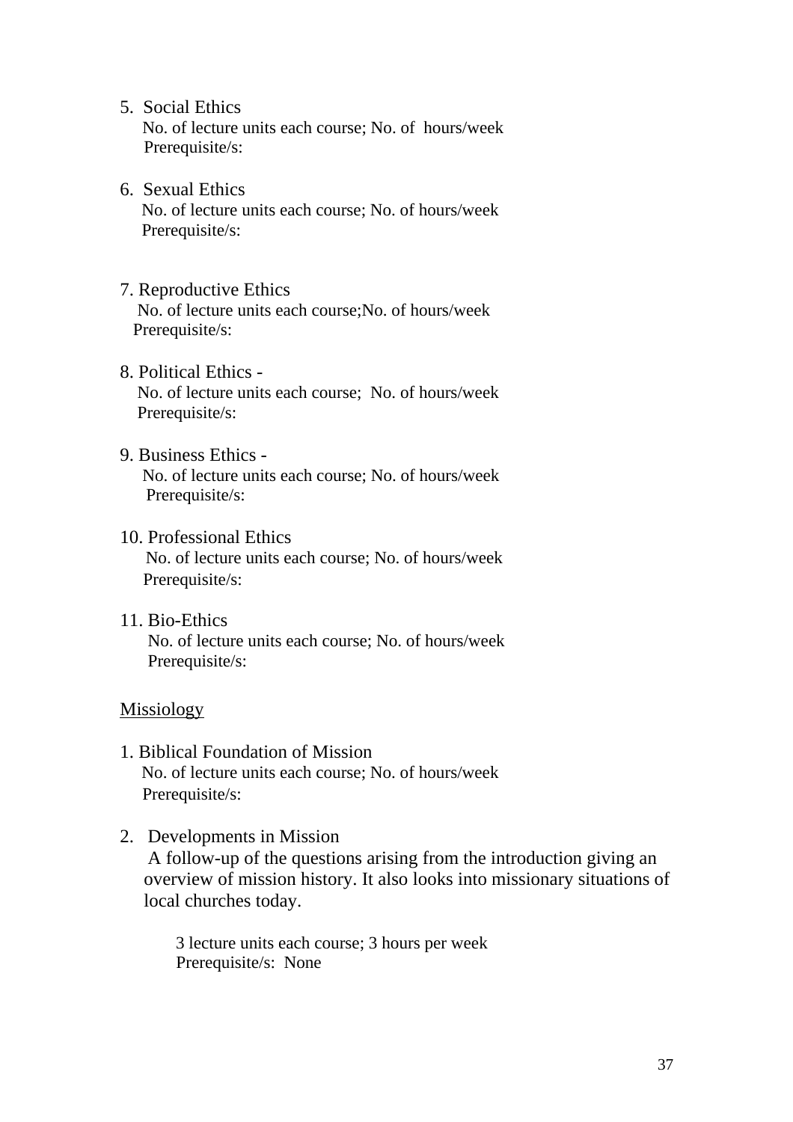5. Social Ethics

 No. of lecture units each course; No. of hours/week Prerequisite/s:

- 6. Sexual Ethics No. of lecture units each course; No. of hours/week Prerequisite/s:
- 7. Reproductive Ethics

 No. of lecture units each course;No. of hours/week Prerequisite/s:

- 8. Political Ethics No. of lecture units each course; No. of hours/week Prerequisite/s:
- 9. Business Ethics No. of lecture units each course; No. of hours/week Prerequisite/s:
- 10. Professional Ethics

 No. of lecture units each course; No. of hours/week Prerequisite/s:

11. Bio-Ethics No. of lecture units each course; No. of hours/week Prerequisite/s:

#### Missiology

- 1. Biblical Foundation of Mission No. of lecture units each course; No. of hours/week Prerequisite/s:
- 2. Developments in Mission A follow-up of the questions arising from the introduction giving an overview of mission history. It also looks into missionary situations of local churches today.

 3 lecture units each course; 3 hours per week Prerequisite/s: None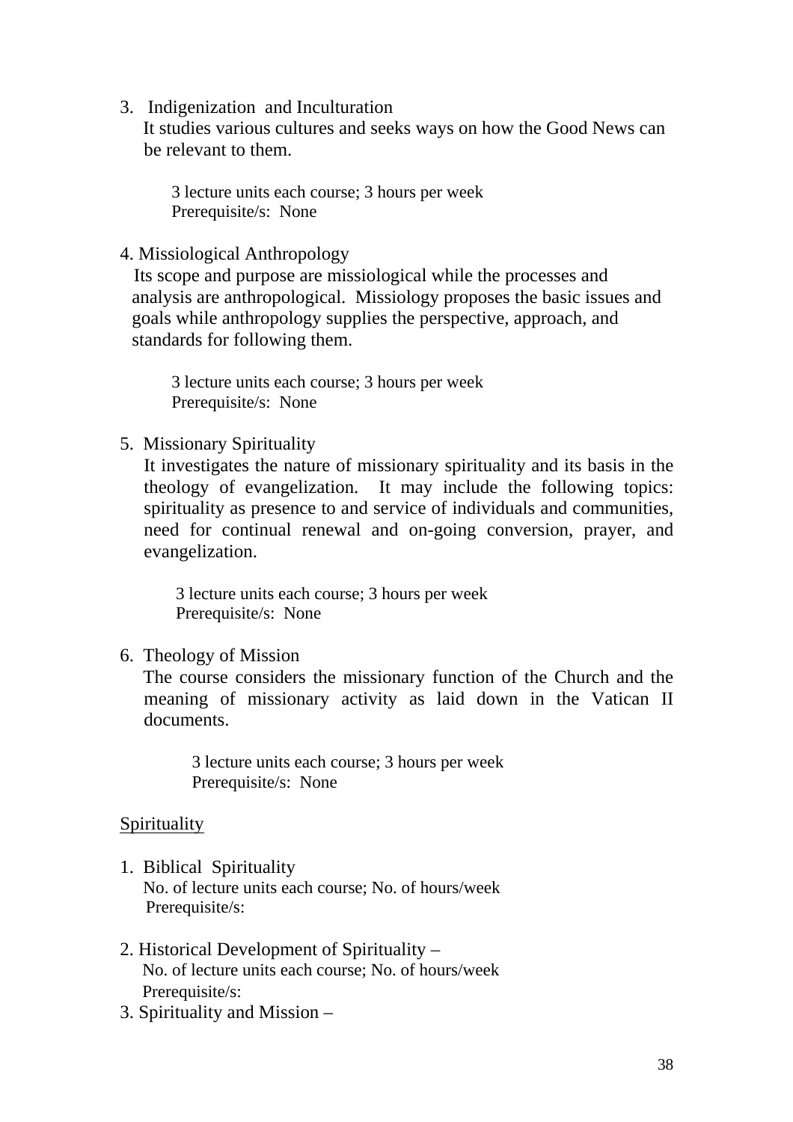3. Indigenization and Inculturation

 It studies various cultures and seeks ways on how the Good News can be relevant to them.

3 lecture units each course; 3 hours per week Prerequisite/s: None

4. Missiological Anthropology

 Its scope and purpose are missiological while the processes and analysis are anthropological. Missiology proposes the basic issues and goals while anthropology supplies the perspective, approach, and standards for following them.

3 lecture units each course; 3 hours per week Prerequisite/s: None

5. Missionary Spirituality

It investigates the nature of missionary spirituality and its basis in the theology of evangelization. It may include the following topics: spirituality as presence to and service of individuals and communities, need for continual renewal and on-going conversion, prayer, and evangelization.

 3 lecture units each course; 3 hours per week Prerequisite/s: None

6. Theology of Mission

 The course considers the missionary function of the Church and the meaning of missionary activity as laid down in the Vatican II documents.

3 lecture units each course; 3 hours per week Prerequisite/s: None

## Spirituality

- 1. Biblical Spirituality No. of lecture units each course; No. of hours/week Prerequisite/s:
- 2. Historical Development of Spirituality No. of lecture units each course; No. of hours/week Prerequisite/s:
- 3. Spirituality and Mission –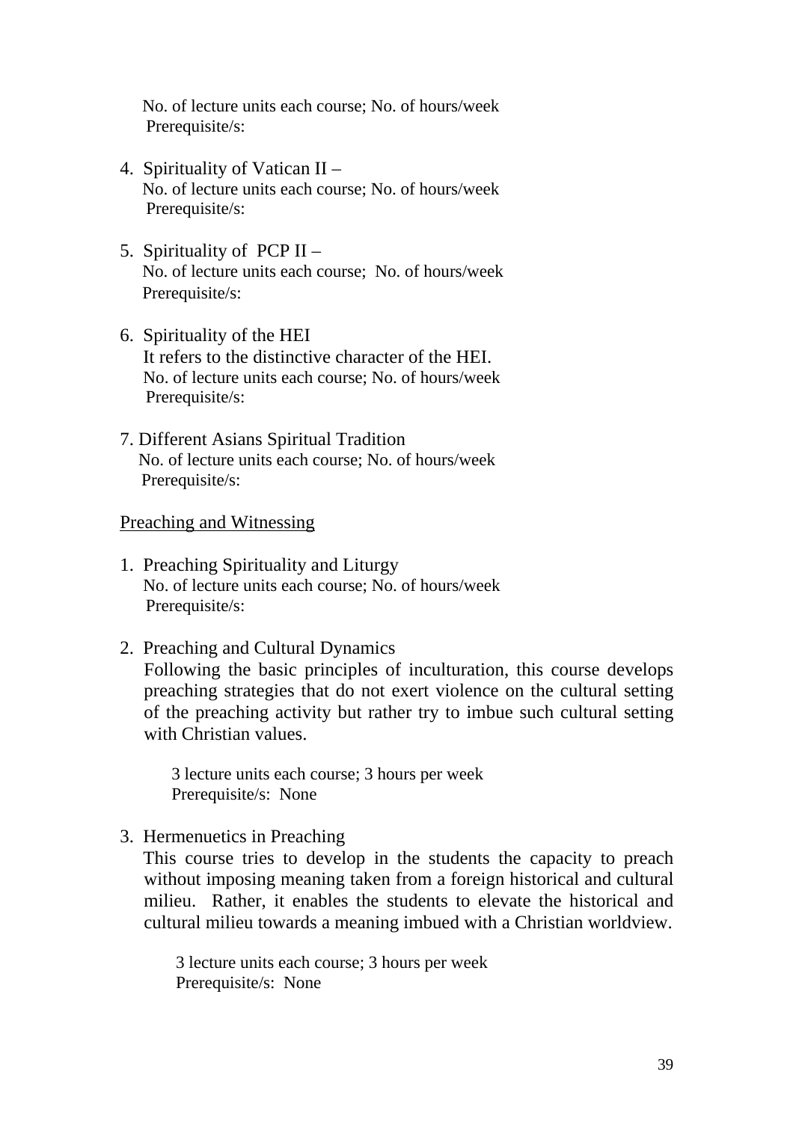No. of lecture units each course; No. of hours/week Prerequisite/s:

- 4. Spirituality of Vatican II No. of lecture units each course; No. of hours/week Prerequisite/s:
- 5. Spirituality of  $PCPII -$  No. of lecture units each course; No. of hours/week Prerequisite/s:
- 6. Spirituality of the HEI It refers to the distinctive character of the HEI. No. of lecture units each course; No. of hours/week Prerequisite/s:
- 7. Different Asians Spiritual Tradition No. of lecture units each course; No. of hours/week Prerequisite/s:

#### Preaching and Witnessing

- 1. Preaching Spirituality and Liturgy No. of lecture units each course; No. of hours/week Prerequisite/s:
- 2. Preaching and Cultural Dynamics Following the basic principles of inculturation, this course develops preaching strategies that do not exert violence on the cultural setting of the preaching activity but rather try to imbue such cultural setting

with Christian values.

3 lecture units each course; 3 hours per week Prerequisite/s: None

3. Hermenuetics in Preaching

 This course tries to develop in the students the capacity to preach without imposing meaning taken from a foreign historical and cultural milieu. Rather, it enables the students to elevate the historical and cultural milieu towards a meaning imbued with a Christian worldview.

 3 lecture units each course; 3 hours per week Prerequisite/s: None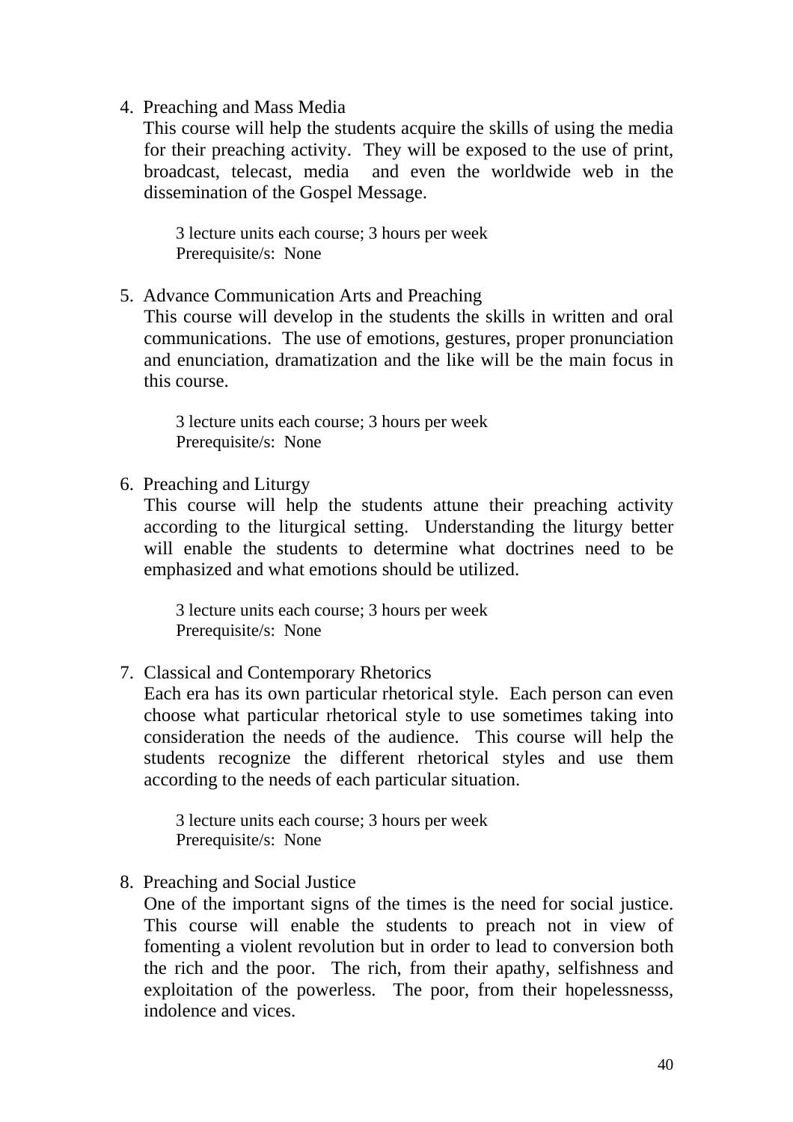4. Preaching and Mass Media

 This course will help the students acquire the skills of using the media for their preaching activity. They will be exposed to the use of print, broadcast, telecast, media and even the worldwide web in the dissemination of the Gospel Message.

 3 lecture units each course; 3 hours per week Prerequisite/s: None

5. Advance Communication Arts and Preaching

This course will develop in the students the skills in written and oral communications. The use of emotions, gestures, proper pronunciation and enunciation, dramatization and the like will be the main focus in this course.

 3 lecture units each course; 3 hours per week Prerequisite/s: None

6. Preaching and Liturgy

This course will help the students attune their preaching activity according to the liturgical setting. Understanding the liturgy better will enable the students to determine what doctrines need to be emphasized and what emotions should be utilized.

 3 lecture units each course; 3 hours per week Prerequisite/s: None

7. Classical and Contemporary Rhetorics

Each era has its own particular rhetorical style. Each person can even choose what particular rhetorical style to use sometimes taking into consideration the needs of the audience. This course will help the students recognize the different rhetorical styles and use them according to the needs of each particular situation.

 3 lecture units each course; 3 hours per week Prerequisite/s: None

8. Preaching and Social Justice

One of the important signs of the times is the need for social justice. This course will enable the students to preach not in view of fomenting a violent revolution but in order to lead to conversion both the rich and the poor. The rich, from their apathy, selfishness and exploitation of the powerless. The poor, from their hopelessnesss, indolence and vices.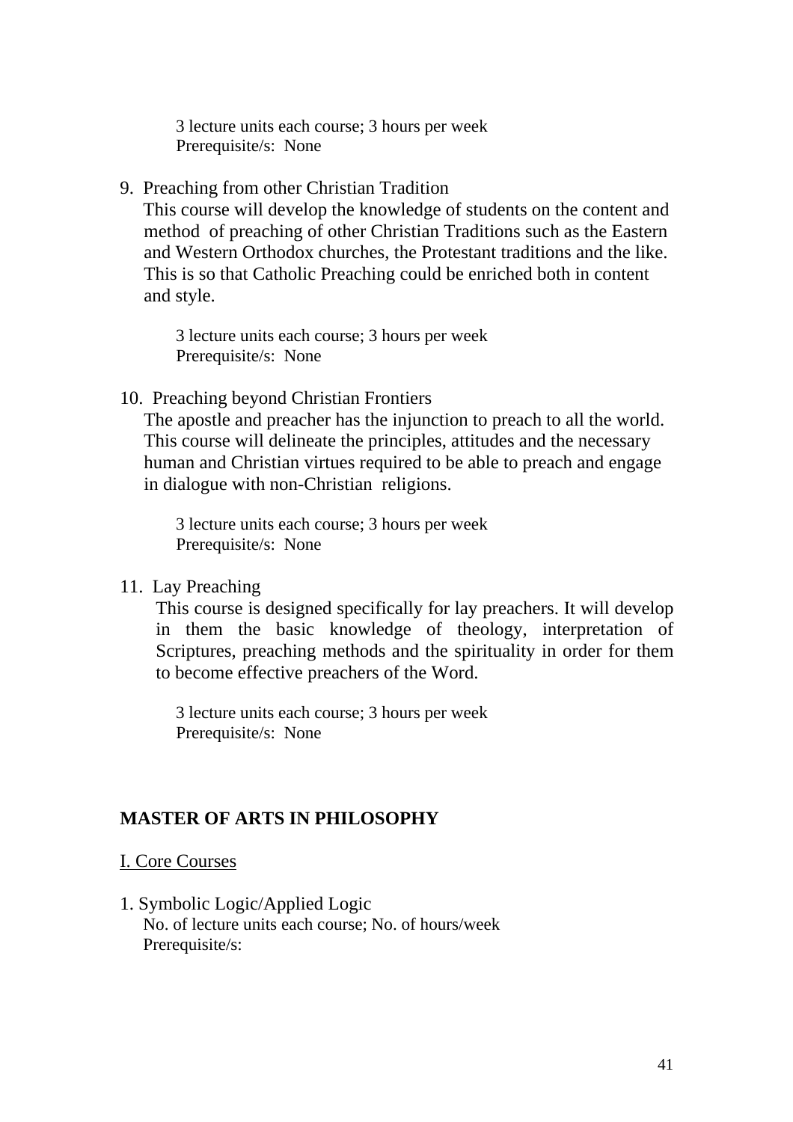3 lecture units each course; 3 hours per week Prerequisite/s: None

9. Preaching from other Christian Tradition

 This course will develop the knowledge of students on the content and method of preaching of other Christian Traditions such as the Eastern and Western Orthodox churches, the Protestant traditions and the like. This is so that Catholic Preaching could be enriched both in content and style.

 3 lecture units each course; 3 hours per week Prerequisite/s: None

10. Preaching beyond Christian Frontiers

The apostle and preacher has the injunction to preach to all the world. This course will delineate the principles, attitudes and the necessary human and Christian virtues required to be able to preach and engage in dialogue with non-Christian religions.

 3 lecture units each course; 3 hours per week Prerequisite/s: None

11. Lay Preaching

This course is designed specifically for lay preachers. It will develop in them the basic knowledge of theology, interpretation of Scriptures, preaching methods and the spirituality in order for them to become effective preachers of the Word.

 3 lecture units each course; 3 hours per week Prerequisite/s: None

## **MASTER OF ARTS IN PHILOSOPHY**

### I. Core Courses

1. Symbolic Logic/Applied Logic No. of lecture units each course; No. of hours/week Prerequisite/s: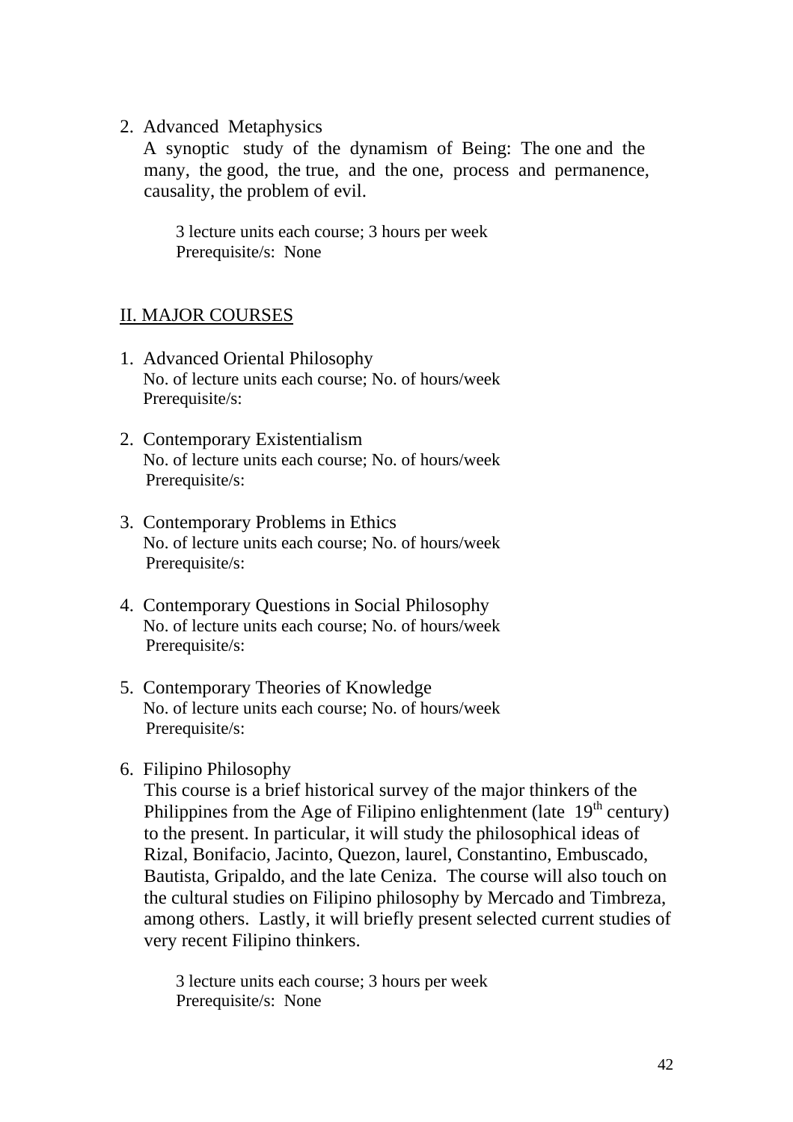2. Advanced Metaphysics

 A synoptic study of the dynamism of Being: The one and the many, the good, the true, and the one, process and permanence, causality, the problem of evil.

 3 lecture units each course; 3 hours per week Prerequisite/s: None

## II. MAJOR COURSES

- 1. Advanced Oriental Philosophy No. of lecture units each course; No. of hours/week Prerequisite/s:
- 2. Contemporary Existentialism No. of lecture units each course; No. of hours/week Prerequisite/s:
- 3. Contemporary Problems in Ethics No. of lecture units each course; No. of hours/week Prerequisite/s:
- 4. Contemporary Questions in Social Philosophy No. of lecture units each course; No. of hours/week Prerequisite/s:
- 5. Contemporary Theories of Knowledge No. of lecture units each course; No. of hours/week Prerequisite/s:
- 6. Filipino Philosophy

This course is a brief historical survey of the major thinkers of the Philippines from the Age of Filipino enlightenment (late  $19<sup>th</sup>$  century) to the present. In particular, it will study the philosophical ideas of Rizal, Bonifacio, Jacinto, Quezon, laurel, Constantino, Embuscado, Bautista, Gripaldo, and the late Ceniza. The course will also touch on the cultural studies on Filipino philosophy by Mercado and Timbreza, among others. Lastly, it will briefly present selected current studies of very recent Filipino thinkers.

 3 lecture units each course; 3 hours per week Prerequisite/s: None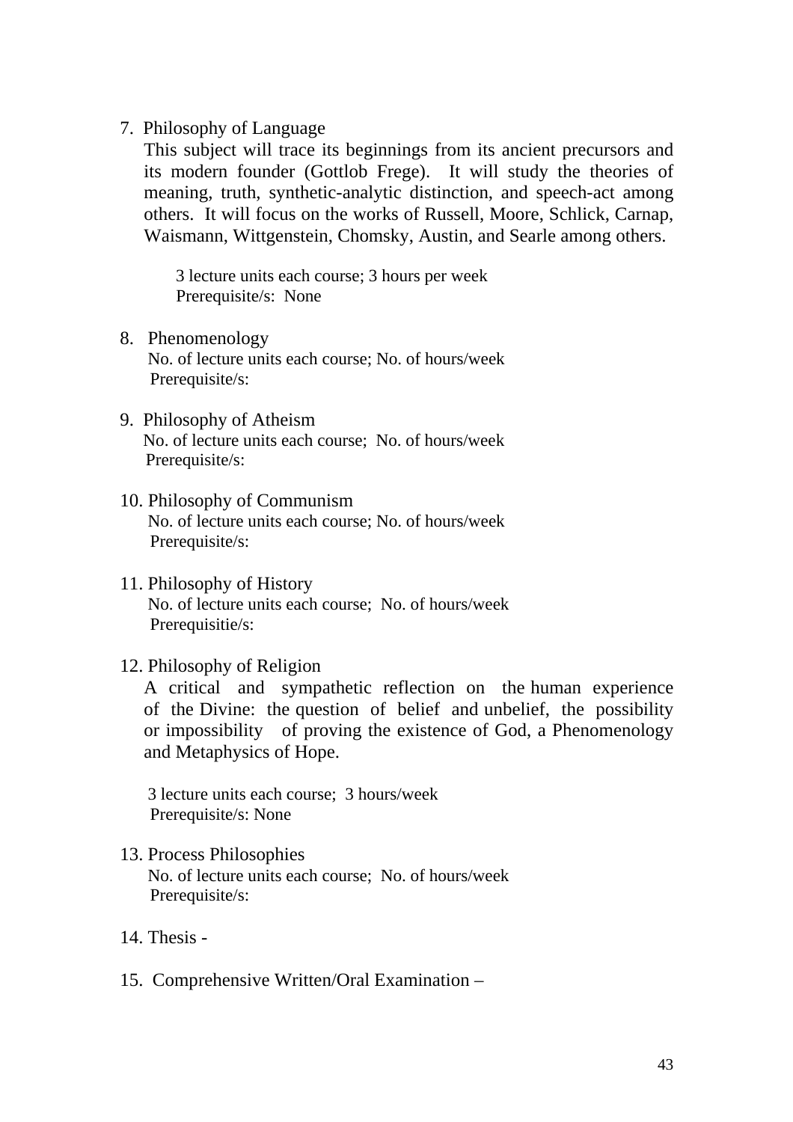#### 7. Philosophy of Language

This subject will trace its beginnings from its ancient precursors and its modern founder (Gottlob Frege). It will study the theories of meaning, truth, synthetic-analytic distinction, and speech-act among others. It will focus on the works of Russell, Moore, Schlick, Carnap, Waismann, Wittgenstein, Chomsky, Austin, and Searle among others.

 3 lecture units each course; 3 hours per week Prerequisite/s: None

- 8. Phenomenology No. of lecture units each course; No. of hours/week Prerequisite/s:
- 9. Philosophy of Atheism No. of lecture units each course; No. of hours/week Prerequisite/s:
- 10. Philosophy of Communism No. of lecture units each course; No. of hours/week Prerequisite/s:
- 11. Philosophy of History No. of lecture units each course; No. of hours/week Prerequisitie/s:

### 12. Philosophy of Religion

A critical and sympathetic reflection on the human experience of the Divine: the question of belief and unbelief, the possibility or impossibility of proving the existence of God, a Phenomenology and Metaphysics of Hope.

 3 lecture units each course; 3 hours/week Prerequisite/s: None

## 13. Process Philosophies No. of lecture units each course; No. of hours/week Prerequisite/s:

- 14. Thesis -
- 15. Comprehensive Written/Oral Examination –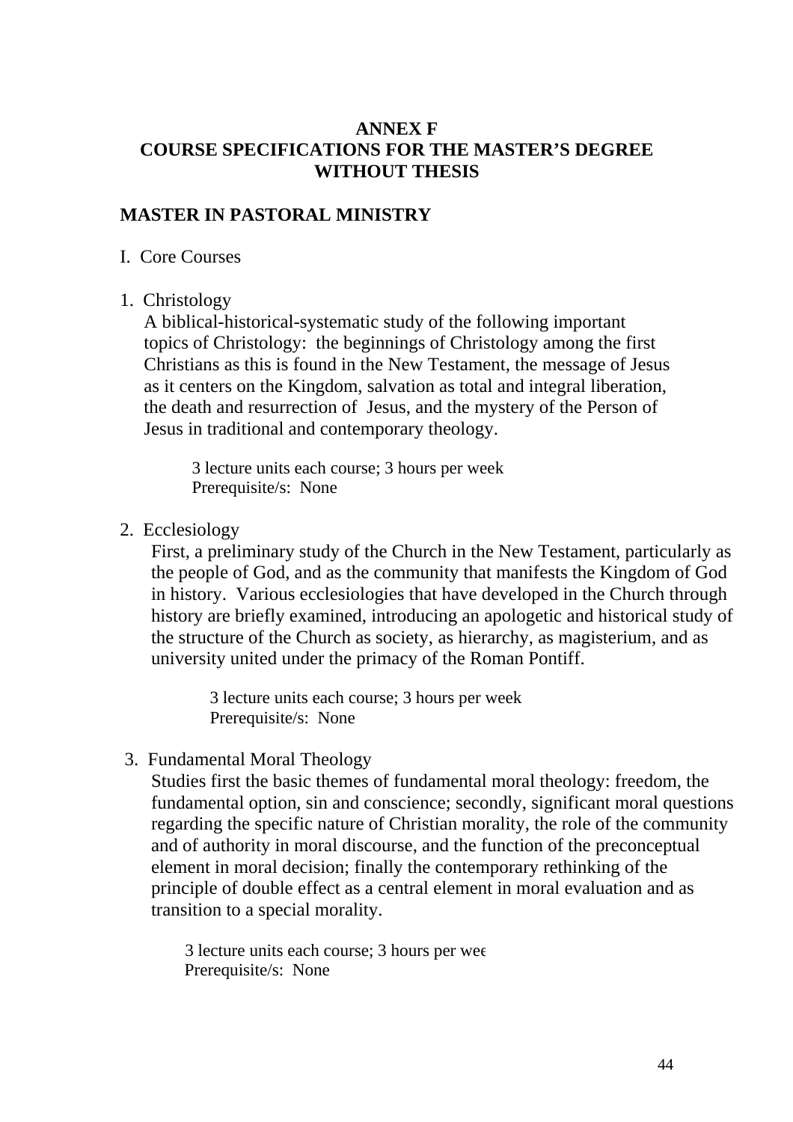## **ANNEX F COURSE SPECIFICATIONS FOR THE MASTER'S DEGREE WITHOUT THESIS**

## **MASTER IN PASTORAL MINISTRY**

### I. Core Courses

1. Christology

A biblical-historical-systematic study of the following important topics of Christology: the beginnings of Christology among the first Christians as this is found in the New Testament, the message of Jesus as it centers on the Kingdom, salvation as total and integral liberation, the death and resurrection of Jesus, and the mystery of the Person of Jesus in traditional and contemporary theology.

3 lecture units each course; 3 hours per week Prerequisite/s: None

2. Ecclesiology

First, a preliminary study of the Church in the New Testament, particularly as the people of God, and as the community that manifests the Kingdom of God in history. Various ecclesiologies that have developed in the Church through history are briefly examined, introducing an apologetic and historical study of the structure of the Church as society, as hierarchy, as magisterium, and as university united under the primacy of the Roman Pontiff.

> 3 lecture units each course; 3 hours per week Prerequisite/s: None

3. Fundamental Moral Theology

Studies first the basic themes of fundamental moral theology: freedom, the fundamental option, sin and conscience; secondly, significant moral questions regarding the specific nature of Christian morality, the role of the community and of authority in moral discourse, and the function of the preconceptual element in moral decision; finally the contemporary rethinking of the principle of double effect as a central element in moral evaluation and as transition to a special morality.

 3 lecture units each course; 3 hours per wee Prerequisite/s: None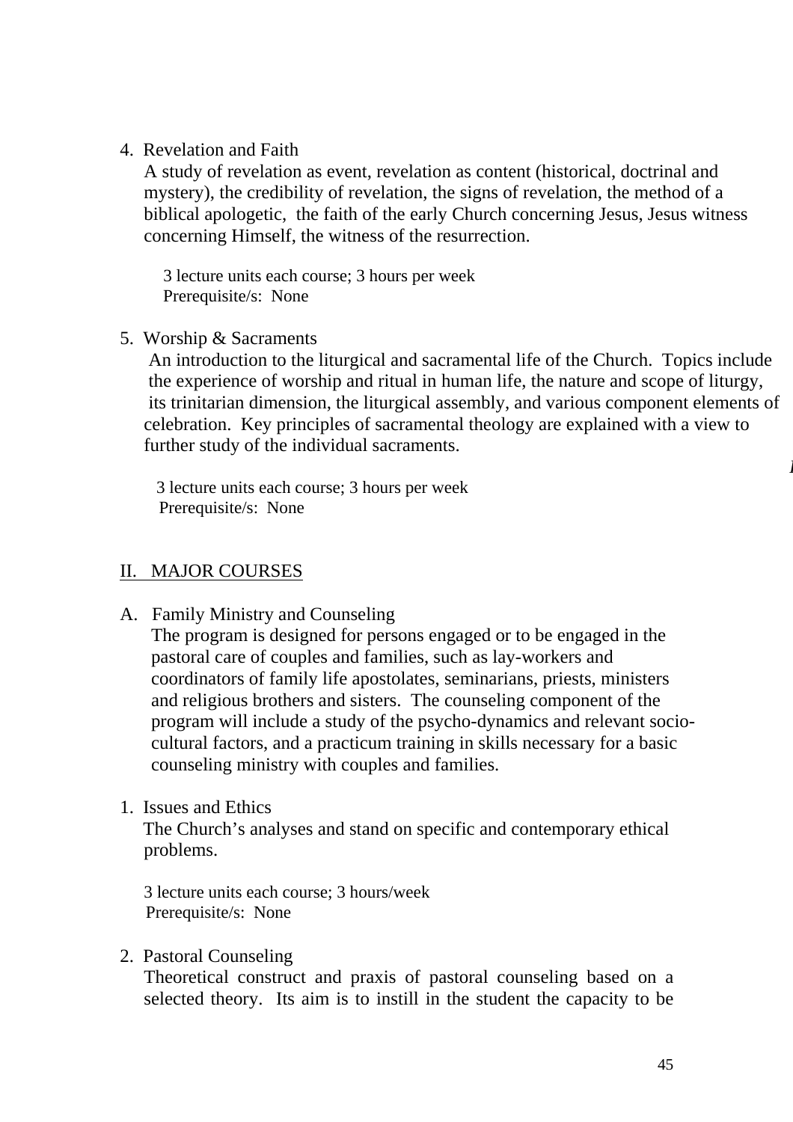### 4. Revelation and Faith

A study of revelation as event, revelation as content (historical, doctrinal and mystery), the credibility of revelation, the signs of revelation, the method of a biblical apologetic, the faith of the early Church concerning Jesus, Jesus witness concerning Himself, the witness of the resurrection.

 3 lecture units each course; 3 hours per week Prerequisite/s: None

### 5. Worship & Sacraments

 An introduction to the liturgical and sacramental life of the Church. Topics include the experience of worship and ritual in human life, the nature and scope of liturgy, its trinitarian dimension, the liturgical assembly, and various component elements of celebration. Key principles of sacramental theology are explained with a view to further study of the individual sacraments.

 3 lecture units each course; 3 hours per week Prerequisite/s: None

## II. MAJOR COURSES

A. Family Ministry and Counseling

The program is designed for persons engaged or to be engaged in the pastoral care of couples and families, such as lay-workers and coordinators of family life apostolates, seminarians, priests, ministers and religious brothers and sisters. The counseling component of the program will include a study of the psycho-dynamics and relevant sociocultural factors, and a practicum training in skills necessary for a basic counseling ministry with couples and families.

1. Issues and Ethics

 The Church's analyses and stand on specific and contemporary ethical problems.

3 lecture units each course; 3 hours/week Prerequisite/s: None

2. Pastoral Counseling

Theoretical construct and praxis of pastoral counseling based on a selected theory. Its aim is to instill in the student the capacity to be

*P*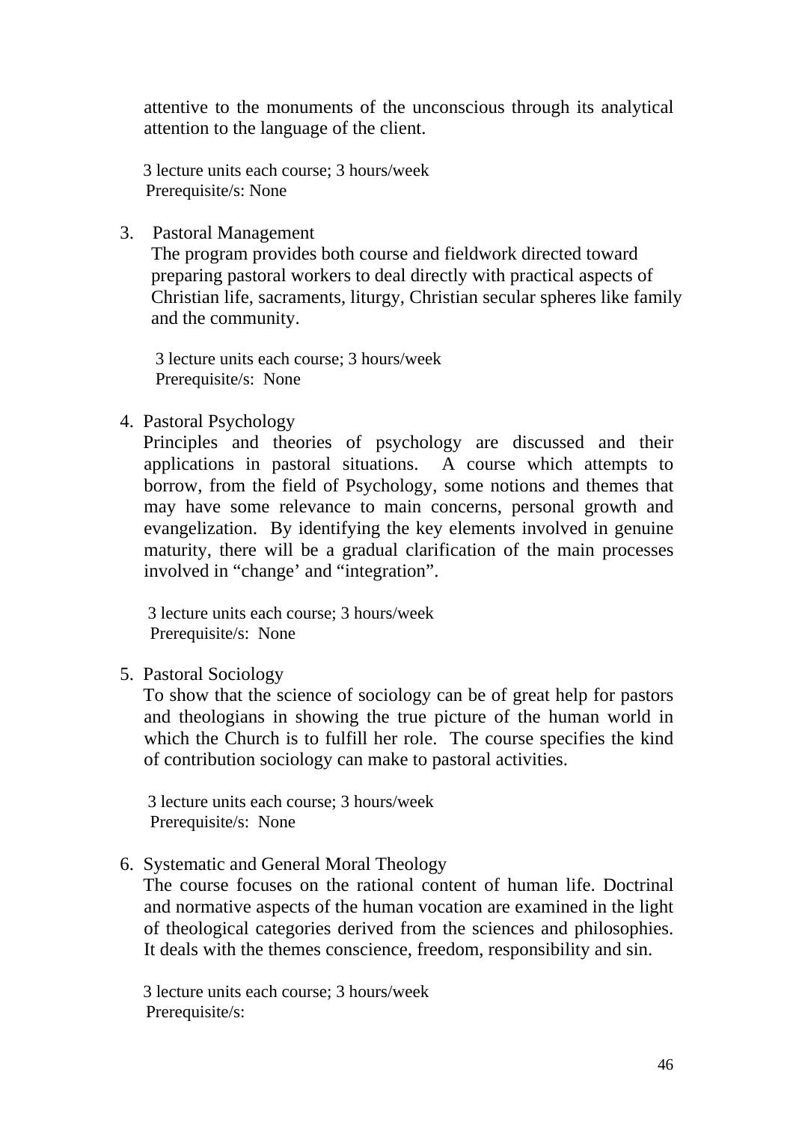attentive to the monuments of the unconscious through its analytical attention to the language of the client.

 3 lecture units each course; 3 hours/week Prerequisite/s: None

3. Pastoral Management

The program provides both course and fieldwork directed toward preparing pastoral workers to deal directly with practical aspects of Christian life, sacraments, liturgy, Christian secular spheres like family and the community.

 3 lecture units each course; 3 hours/week Prerequisite/s: None

4. Pastoral Psychology

Principles and theories of psychology are discussed and their applications in pastoral situations. A course which attempts to borrow, from the field of Psychology, some notions and themes that may have some relevance to main concerns, personal growth and evangelization. By identifying the key elements involved in genuine maturity, there will be a gradual clarification of the main processes involved in "change' and "integration".

 3 lecture units each course; 3 hours/week Prerequisite/s: None

### 5. Pastoral Sociology

 To show that the science of sociology can be of great help for pastors and theologians in showing the true picture of the human world in which the Church is to fulfill her role. The course specifies the kind of contribution sociology can make to pastoral activities.

 3 lecture units each course; 3 hours/week Prerequisite/s: None

### 6. Systematic and General Moral Theology

 The course focuses on the rational content of human life. Doctrinal and normative aspects of the human vocation are examined in the light of theological categories derived from the sciences and philosophies. It deals with the themes conscience, freedom, responsibility and sin.

 3 lecture units each course; 3 hours/week Prerequisite/s: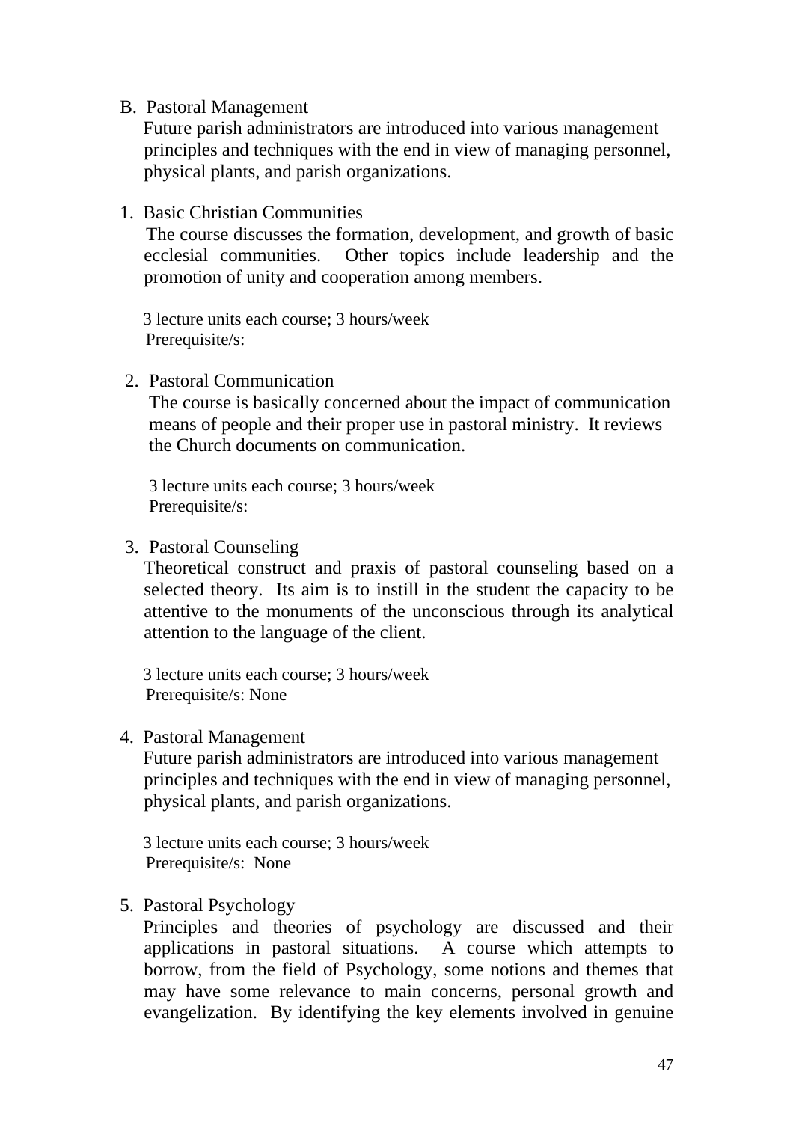#### B. Pastoral Management

 Future parish administrators are introduced into various management principles and techniques with the end in view of managing personnel, physical plants, and parish organizations.

1. Basic Christian Communities

 The course discusses the formation, development, and growth of basic ecclesial communities. Other topics include leadership and the promotion of unity and cooperation among members.

 3 lecture units each course; 3 hours/week Prerequisite/s:

2. Pastoral Communication

The course is basically concerned about the impact of communication means of people and their proper use in pastoral ministry. It reviews the Church documents on communication.

3 lecture units each course; 3 hours/week Prerequisite/s:

3. Pastoral Counseling

Theoretical construct and praxis of pastoral counseling based on a selected theory. Its aim is to instill in the student the capacity to be attentive to the monuments of the unconscious through its analytical attention to the language of the client.

 3 lecture units each course; 3 hours/week Prerequisite/s: None

4. Pastoral Management

 Future parish administrators are introduced into various management principles and techniques with the end in view of managing personnel, physical plants, and parish organizations.

 3 lecture units each course; 3 hours/week Prerequisite/s: None

5. Pastoral Psychology

Principles and theories of psychology are discussed and their applications in pastoral situations. A course which attempts to borrow, from the field of Psychology, some notions and themes that may have some relevance to main concerns, personal growth and evangelization. By identifying the key elements involved in genuine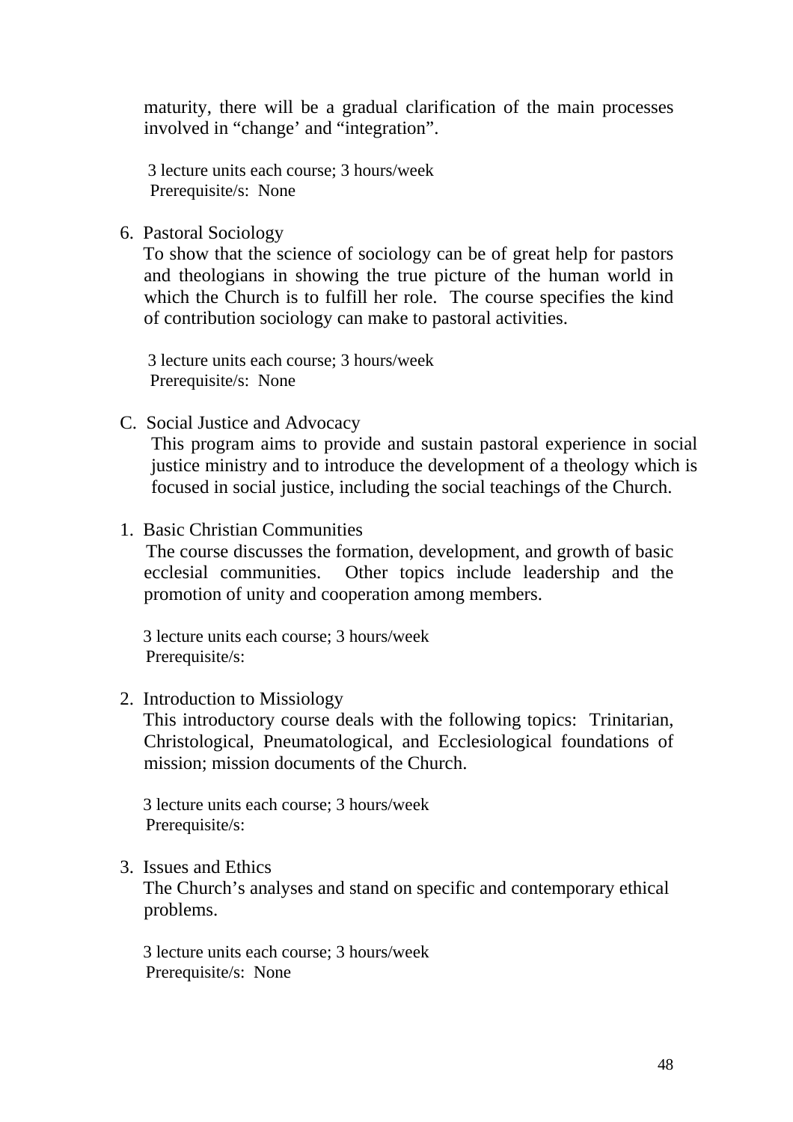maturity, there will be a gradual clarification of the main processes involved in "change' and "integration".

 3 lecture units each course; 3 hours/week Prerequisite/s: None

6. Pastoral Sociology

 To show that the science of sociology can be of great help for pastors and theologians in showing the true picture of the human world in which the Church is to fulfill her role. The course specifies the kind of contribution sociology can make to pastoral activities.

 3 lecture units each course; 3 hours/week Prerequisite/s: None

C. Social Justice and Advocacy

This program aims to provide and sustain pastoral experience in social justice ministry and to introduce the development of a theology which is focused in social justice, including the social teachings of the Church.

1. Basic Christian Communities

 The course discusses the formation, development, and growth of basic ecclesial communities. Other topics include leadership and the promotion of unity and cooperation among members.

 3 lecture units each course; 3 hours/week Prerequisite/s:

2. Introduction to Missiology

 This introductory course deals with the following topics: Trinitarian, Christological, Pneumatological, and Ecclesiological foundations of mission; mission documents of the Church.

 3 lecture units each course; 3 hours/week Prerequisite/s:

3. Issues and Ethics

 The Church's analyses and stand on specific and contemporary ethical problems.

 3 lecture units each course; 3 hours/week Prerequisite/s: None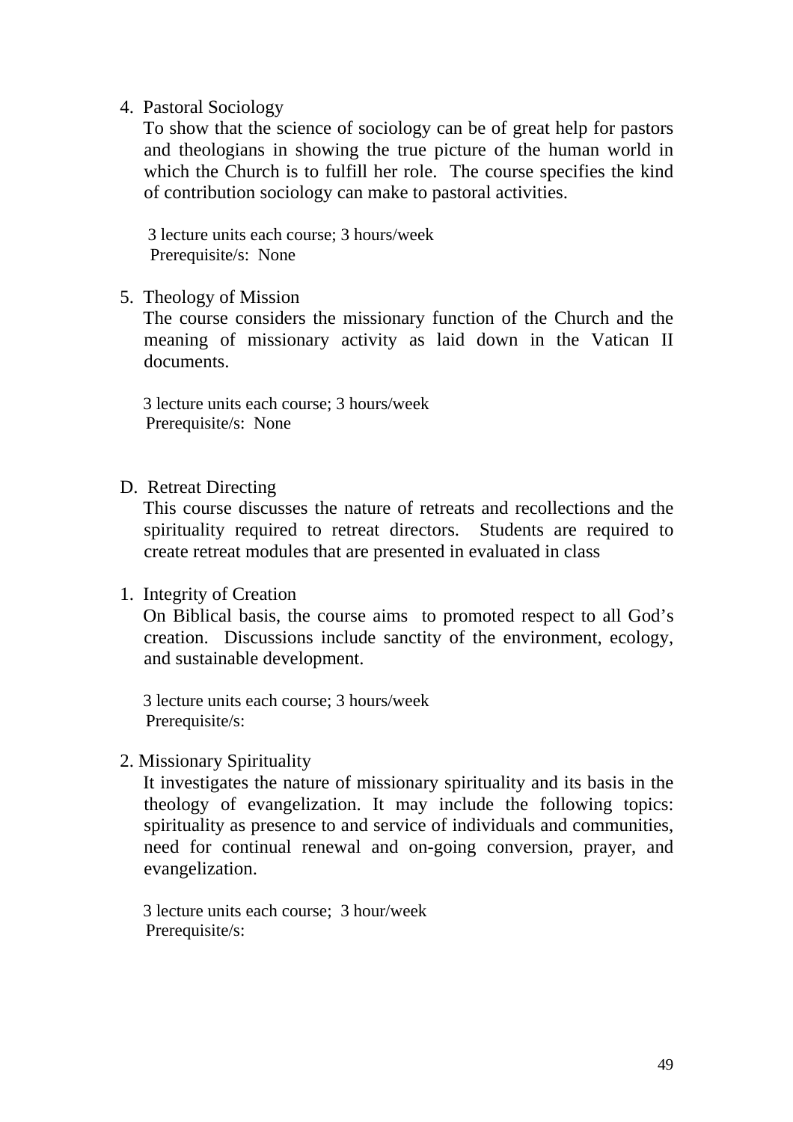### 4. Pastoral Sociology

 To show that the science of sociology can be of great help for pastors and theologians in showing the true picture of the human world in which the Church is to fulfill her role. The course specifies the kind of contribution sociology can make to pastoral activities.

 3 lecture units each course; 3 hours/week Prerequisite/s: None

5. Theology of Mission

 The course considers the missionary function of the Church and the meaning of missionary activity as laid down in the Vatican II documents.

 3 lecture units each course; 3 hours/week Prerequisite/s: None

D. Retreat Directing

 This course discusses the nature of retreats and recollections and the spirituality required to retreat directors. Students are required to create retreat modules that are presented in evaluated in class

### 1. Integrity of Creation

 On Biblical basis, the course aims to promoted respect to all God's creation. Discussions include sanctity of the environment, ecology, and sustainable development.

 3 lecture units each course; 3 hours/week Prerequisite/s:

2. Missionary Spirituality

 It investigates the nature of missionary spirituality and its basis in the theology of evangelization. It may include the following topics: spirituality as presence to and service of individuals and communities, need for continual renewal and on-going conversion, prayer, and evangelization.

 3 lecture units each course; 3 hour/week Prerequisite/s: